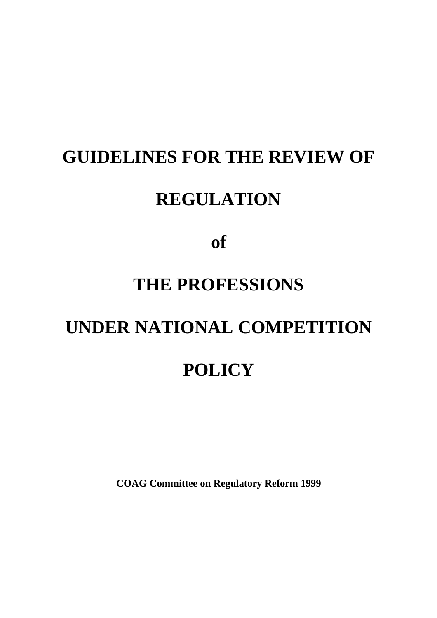# **GUIDELINES FOR THE REVIEW OF**

# **REGULATION**

**of**

# **THE PROFESSIONS**

# **UNDER NATIONAL COMPETITION POLICY**

**COAG Committee on Regulatory Reform 1999**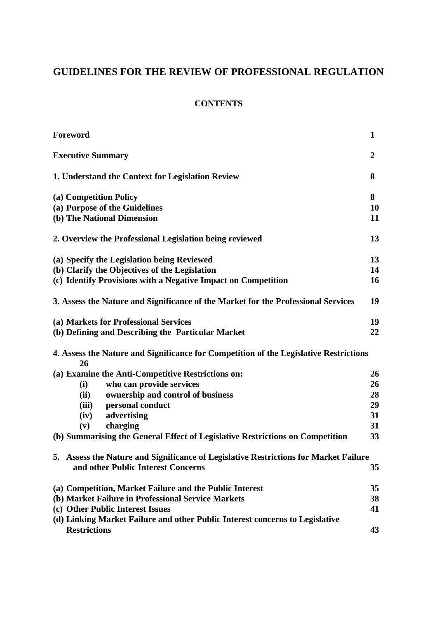# **GUIDELINES FOR THE REVIEW OF PROFESSIONAL REGULATION**

# **CONTENTS**

| Foreword                                                                                    | 1              |
|---------------------------------------------------------------------------------------------|----------------|
| <b>Executive Summary</b>                                                                    | $\overline{2}$ |
| 1. Understand the Context for Legislation Review                                            | 8              |
| (a) Competition Policy                                                                      | 8              |
| (a) Purpose of the Guidelines                                                               | 10             |
| (b) The National Dimension                                                                  | 11             |
| 2. Overview the Professional Legislation being reviewed                                     | 13             |
| (a) Specify the Legislation being Reviewed                                                  | 13             |
| (b) Clarify the Objectives of the Legislation                                               | 14             |
| (c) Identify Provisions with a Negative Impact on Competition                               | 16             |
| 3. Assess the Nature and Significance of the Market for the Professional Services           | 19             |
| (a) Markets for Professional Services                                                       | 19             |
| (b) Defining and Describing the Particular Market                                           | 22             |
| 4. Assess the Nature and Significance for Competition of the Legislative Restrictions<br>26 |                |
| (a) Examine the Anti-Competitive Restrictions on:                                           | 26             |
| who can provide services<br>(i)                                                             | 26             |
| (ii)<br>ownership and control of business                                                   | 28             |
| personal conduct<br>(iii)                                                                   | 29             |
| advertising<br>(iv)                                                                         | 31             |
| charging<br>(v)                                                                             | 31             |
| (b) Summarising the General Effect of Legislative Restrictions on Competition               | 33             |
| 5. Assess the Nature and Significance of Legislative Restrictions for Market Failure        |                |
| and other Public Interest Concerns                                                          | 35             |
| (a) Competition, Market Failure and the Public Interest                                     | 35             |
| (b) Market Failure in Professional Service Markets                                          | 38             |
| (c) Other Public Interest Issues                                                            | 41             |
| (d) Linking Market Failure and other Public Interest concerns to Legislative                |                |
| <b>Restrictions</b>                                                                         | 43             |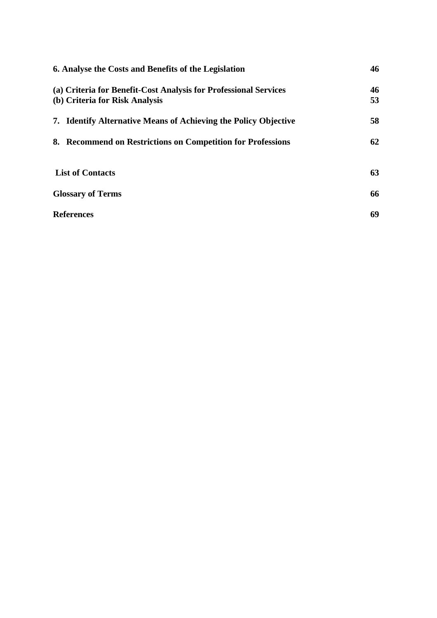| 6. Analyse the Costs and Benefits of the Legislation                                               | 46       |
|----------------------------------------------------------------------------------------------------|----------|
| (a) Criteria for Benefit-Cost Analysis for Professional Services<br>(b) Criteria for Risk Analysis | 46<br>53 |
| 7. Identify Alternative Means of Achieving the Policy Objective                                    | 58       |
| 8. Recommend on Restrictions on Competition for Professions                                        | 62       |
| <b>List of Contacts</b>                                                                            | 63       |
| <b>Glossary of Terms</b>                                                                           | 66       |
| <b>References</b>                                                                                  | 69       |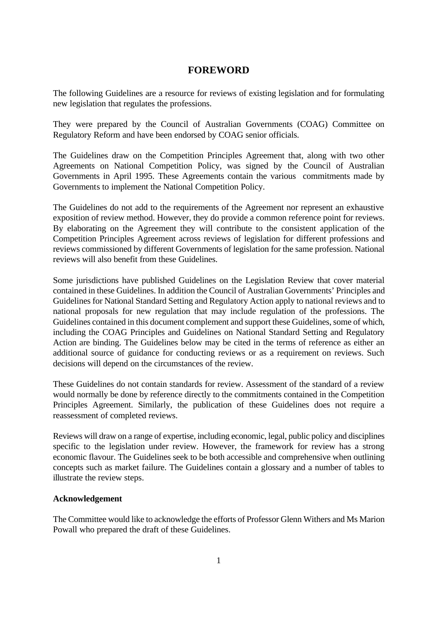# **FOREWORD**

The following Guidelines are a resource for reviews of existing legislation and for formulating new legislation that regulates the professions.

They were prepared by the Council of Australian Governments (COAG) Committee on Regulatory Reform and have been endorsed by COAG senior officials.

The Guidelines draw on the Competition Principles Agreement that, along with two other Agreements on National Competition Policy, was signed by the Council of Australian Governments in April 1995. These Agreements contain the various commitments made by Governments to implement the National Competition Policy.

The Guidelines do not add to the requirements of the Agreement nor represent an exhaustive exposition of review method. However, they do provide a common reference point for reviews. By elaborating on the Agreement they will contribute to the consistent application of the Competition Principles Agreement across reviews of legislation for different professions and reviews commissioned by different Governments of legislation for the same profession. National reviews will also benefit from these Guidelines.

Some jurisdictions have published Guidelines on the Legislation Review that cover material contained in these Guidelines. In addition the Council of Australian Governments' Principles and Guidelines for National Standard Setting and Regulatory Action apply to national reviews and to national proposals for new regulation that may include regulation of the professions. The Guidelines contained in this document complement and support these Guidelines, some of which, including the COAG Principles and Guidelines on National Standard Setting and Regulatory Action are binding. The Guidelines below may be cited in the terms of reference as either an additional source of guidance for conducting reviews or as a requirement on reviews. Such decisions will depend on the circumstances of the review.

These Guidelines do not contain standards for review. Assessment of the standard of a review would normally be done by reference directly to the commitments contained in the Competition Principles Agreement. Similarly, the publication of these Guidelines does not require a reassessment of completed reviews.

Reviews will draw on a range of expertise, including economic, legal, public policy and disciplines specific to the legislation under review. However, the framework for review has a strong economic flavour. The Guidelines seek to be both accessible and comprehensive when outlining concepts such as market failure. The Guidelines contain a glossary and a number of tables to illustrate the review steps.

#### **Acknowledgement**

The Committee would like to acknowledge the efforts of Professor Glenn Withers and Ms Marion Powall who prepared the draft of these Guidelines.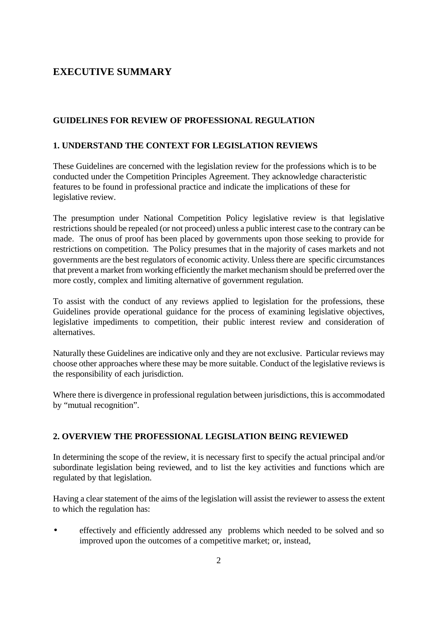# **EXECUTIVE SUMMARY**

#### **GUIDELINES FOR REVIEW OF PROFESSIONAL REGULATION**

#### **1. UNDERSTAND THE CONTEXT FOR LEGISLATION REVIEWS**

These Guidelines are concerned with the legislation review for the professions which is to be conducted under the Competition Principles Agreement. They acknowledge characteristic features to be found in professional practice and indicate the implications of these for legislative review.

The presumption under National Competition Policy legislative review is that legislative restrictions should be repealed (or not proceed) unless a public interest case to the contrary can be made. The onus of proof has been placed by governments upon those seeking to provide for restrictions on competition. The Policy presumes that in the majority of cases markets and not governments are the best regulators of economic activity. Unless there are specific circumstances that prevent a market from working efficiently the market mechanism should be preferred over the more costly, complex and limiting alternative of government regulation.

To assist with the conduct of any reviews applied to legislation for the professions, these Guidelines provide operational guidance for the process of examining legislative objectives, legislative impediments to competition, their public interest review and consideration of alternatives.

Naturally these Guidelines are indicative only and they are not exclusive. Particular reviews may choose other approaches where these may be more suitable. Conduct of the legislative reviews is the responsibility of each jurisdiction.

Where there is divergence in professional regulation between jurisdictions, this is accommodated by "mutual recognition".

# **2. OVERVIEW THE PROFESSIONAL LEGISLATION BEING REVIEWED**

In determining the scope of the review, it is necessary first to specify the actual principal and/or subordinate legislation being reviewed, and to list the key activities and functions which are regulated by that legislation.

Having a clear statement of the aims of the legislation will assist the reviewer to assess the extent to which the regulation has:

• effectively and efficiently addressed any problems which needed to be solved and so improved upon the outcomes of a competitive market; or, instead,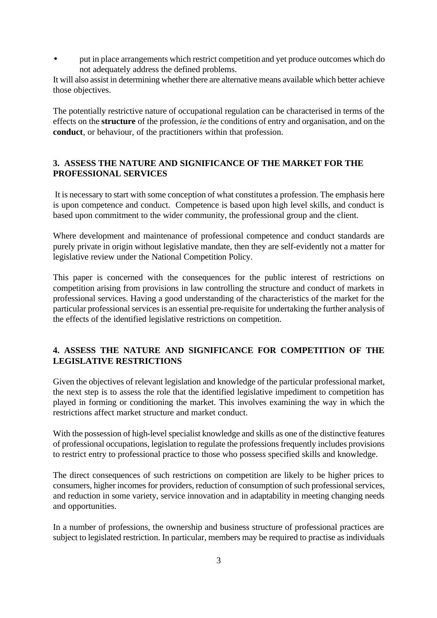• put in place arrangements which restrict competition and yet produce outcomes which do not adequately address the defined problems.

It will also assist in determining whether there are alternative means available which better achieve those objectives.

The potentially restrictive nature of occupational regulation can be characterised in terms of the effects on the **structure** of the profession, *ie* the conditions of entry and organisation, and on the **conduct**, or behaviour*,* of the practitioners within that profession.

# **3. ASSESS THE NATURE AND SIGNIFICANCE OF THE MARKET FOR THE PROFESSIONAL SERVICES**

 It is necessary to start with some conception of what constitutes a profession. The emphasis here is upon competence and conduct. Competence is based upon high level skills, and conduct is based upon commitment to the wider community, the professional group and the client.

Where development and maintenance of professional competence and conduct standards are purely private in origin without legislative mandate, then they are self-evidently not a matter for legislative review under the National Competition Policy.

This paper is concerned with the consequences for the public interest of restrictions on competition arising from provisions in law controlling the structure and conduct of markets in professional services. Having a good understanding of the characteristics of the market for the particular professional services is an essential pre-requisite for undertaking the further analysis of the effects of the identified legislative restrictions on competition.

# **4. ASSESS THE NATURE AND SIGNIFICANCE FOR COMPETITION OF THE LEGISLATIVE RESTRICTIONS**

Given the objectives of relevant legislation and knowledge of the particular professional market, the next step is to assess the role that the identified legislative impediment to competition has played in forming or conditioning the market. This involves examining the way in which the restrictions affect market structure and market conduct.

With the possession of high-level specialist knowledge and skills as one of the distinctive features of professional occupations, legislation to regulate the professions frequently includes provisions to restrict entry to professional practice to those who possess specified skills and knowledge.

The direct consequences of such restrictions on competition are likely to be higher prices to consumers, higher incomes for providers, reduction of consumption of such professional services, and reduction in some variety, service innovation and in adaptability in meeting changing needs and opportunities.

In a number of professions, the ownership and business structure of professional practices are subject to legislated restriction. In particular, members may be required to practise as individuals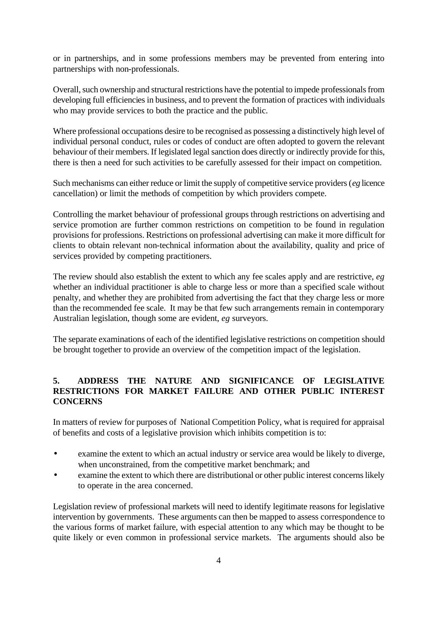or in partnerships, and in some professions members may be prevented from entering into partnerships with non-professionals.

Overall, such ownership and structural restrictions have the potential to impede professionals from developing full efficiencies in business, and to prevent the formation of practices with individuals who may provide services to both the practice and the public.

Where professional occupations desire to be recognised as possessing a distinctively high level of individual personal conduct, rules or codes of conduct are often adopted to govern the relevant behaviour of their members. If legislated legal sanction does directly or indirectly provide for this, there is then a need for such activities to be carefully assessed for their impact on competition.

Such mechanisms can either reduce or limit the supply of competitive service providers (*eg* licence cancellation) or limit the methods of competition by which providers compete.

Controlling the market behaviour of professional groups through restrictions on advertising and service promotion are further common restrictions on competition to be found in regulation provisions for professions. Restrictions on professional advertising can make it more difficult for clients to obtain relevant non-technical information about the availability, quality and price of services provided by competing practitioners.

The review should also establish the extent to which any fee scales apply and are restrictive, *eg* whether an individual practitioner is able to charge less or more than a specified scale without penalty, and whether they are prohibited from advertising the fact that they charge less or more than the recommended fee scale. It may be that few such arrangements remain in contemporary Australian legislation, though some are evident, *eg* surveyors.

The separate examinations of each of the identified legislative restrictions on competition should be brought together to provide an overview of the competition impact of the legislation.

# **5. ADDRESS THE NATURE AND SIGNIFICANCE OF LEGISLATIVE RESTRICTIONS FOR MARKET FAILURE AND OTHER PUBLIC INTEREST CONCERNS**

In matters of review for purposes of National Competition Policy, what is required for appraisal of benefits and costs of a legislative provision which inhibits competition is to:

- examine the extent to which an actual industry or service area would be likely to diverge, when unconstrained, from the competitive market benchmark; and
- examine the extent to which there are distributional or other public interest concerns likely to operate in the area concerned.

Legislation review of professional markets will need to identify legitimate reasons for legislative intervention by governments. These arguments can then be mapped to assess correspondence to the various forms of market failure, with especial attention to any which may be thought to be quite likely or even common in professional service markets. The arguments should also be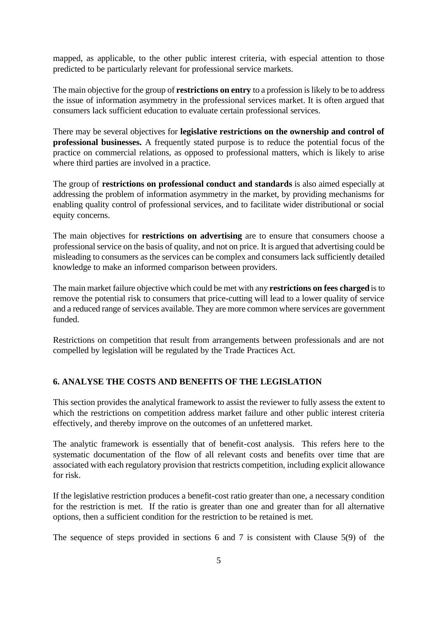mapped, as applicable, to the other public interest criteria, with especial attention to those predicted to be particularly relevant for professional service markets.

The main objective for the group of **restrictions on entry** to a profession is likely to be to address the issue of information asymmetry in the professional services market. It is often argued that consumers lack sufficient education to evaluate certain professional services.

There may be several objectives for **legislative restrictions on the ownership and control of professional businesses.** A frequently stated purpose is to reduce the potential focus of the practice on commercial relations, as opposed to professional matters, which is likely to arise where third parties are involved in a practice.

The group of **restrictions on professional conduct and standards** is also aimed especially at addressing the problem of information asymmetry in the market, by providing mechanisms for enabling quality control of professional services, and to facilitate wider distributional or social equity concerns.

The main objectives for **restrictions on advertising** are to ensure that consumers choose a professional service on the basis of quality, and not on price. It is argued that advertising could be misleading to consumers as the services can be complex and consumers lack sufficiently detailed knowledge to make an informed comparison between providers.

The main market failure objective which could be met with any **restrictions on fees charged** is to remove the potential risk to consumers that price-cutting will lead to a lower quality of service and a reduced range of services available. They are more common where services are government funded.

Restrictions on competition that result from arrangements between professionals and are not compelled by legislation will be regulated by the Trade Practices Act.

#### **6. ANALYSE THE COSTS AND BENEFITS OF THE LEGISLATION**

This section provides the analytical framework to assist the reviewer to fully assess the extent to which the restrictions on competition address market failure and other public interest criteria effectively, and thereby improve on the outcomes of an unfettered market.

The analytic framework is essentially that of benefit-cost analysis. This refers here to the systematic documentation of the flow of all relevant costs and benefits over time that are associated with each regulatory provision that restricts competition, including explicit allowance for risk.

If the legislative restriction produces a benefit-cost ratio greater than one, a necessary condition for the restriction is met. If the ratio is greater than one and greater than for all alternative options, then a sufficient condition for the restriction to be retained is met.

The sequence of steps provided in sections 6 and 7 is consistent with Clause 5(9) of the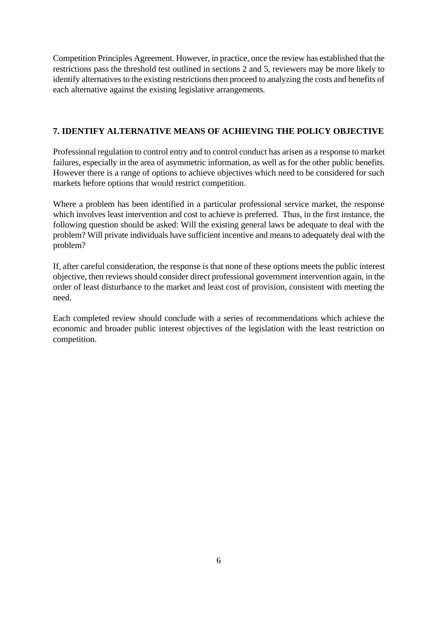Competition Principles Agreement. However, in practice, once the review has established that the restrictions pass the threshold test outlined in sections 2 and 5, reviewers may be more likely to identify alternatives to the existing restrictions then proceed to analyzing the costs and benefits of each alternative against the existing legislative arrangements.

#### **7. IDENTIFY ALTERNATIVE MEANS OF ACHIEVING THE POLICY OBJECTIVE**

Professional regulation to control entry and to control conduct has arisen as a response to market failures, especially in the area of asymmetric information, as well as for the other public benefits. However there is a range of options to achieve objectives which need to be considered for such markets before options that would restrict competition.

Where a problem has been identified in a particular professional service market, the response which involves least intervention and cost to achieve is preferred. Thus, in the first instance, the following question should be asked: Will the existing general laws be adequate to deal with the problem? Will private individuals have sufficient incentive and means to adequately deal with the problem?

If, after careful consideration, the response is that none of these options meets the public interest objective, then reviews should consider direct professional government intervention again, in the order of least disturbance to the market and least cost of provision, consistent with meeting the need.

Each completed review should conclude with a series of recommendations which achieve the economic and broader public interest objectives of the legislation with the least restriction on competition.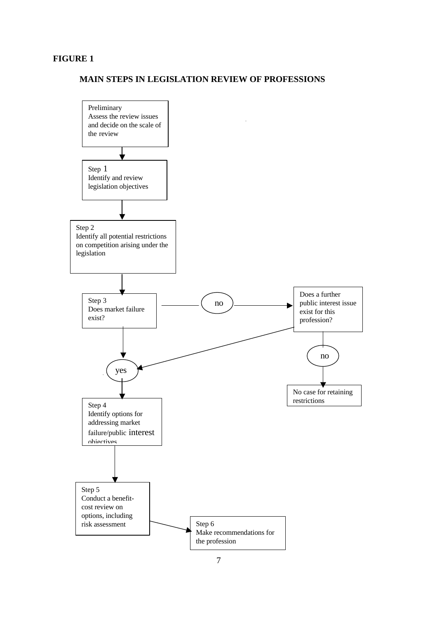#### **FIGURE 1**

#### **MAIN STEPS IN LEGISLATION REVIEW OF PROFESSIONS**

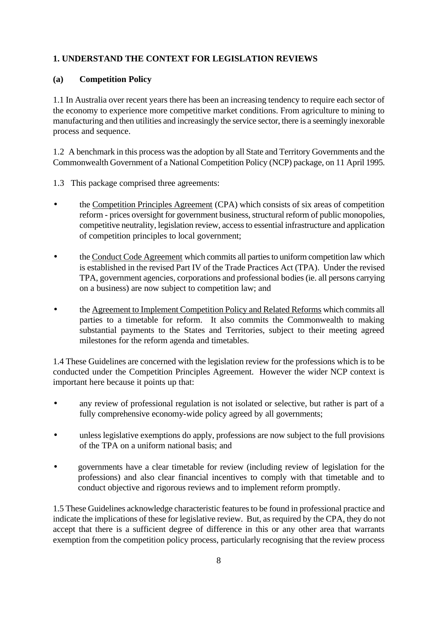# **1. UNDERSTAND THE CONTEXT FOR LEGISLATION REVIEWS**

### **(a) Competition Policy**

1.1 In Australia over recent years there has been an increasing tendency to require each sector of the economy to experience more competitive market conditions. From agriculture to mining to manufacturing and then utilities and increasingly the service sector, there is a seemingly inexorable process and sequence.

1.2 A benchmark in this process was the adoption by all State and Territory Governments and the Commonwealth Government of a National Competition Policy (NCP) package, on 11 April 1995.

- 1.3 This package comprised three agreements:
- the Competition Principles Agreement (CPA) which consists of six areas of competition reform - prices oversight for government business, structural reform of public monopolies, competitive neutrality, legislation review, access to essential infrastructure and application of competition principles to local government;
- the Conduct Code Agreement which commits all parties to uniform competition law which is established in the revised Part IV of the Trade Practices Act (TPA). Under the revised TPA, government agencies, corporations and professional bodies (ie. all persons carrying on a business) are now subject to competition law; and
- the Agreement to Implement Competition Policy and Related Reforms which commits all parties to a timetable for reform. It also commits the Commonwealth to making substantial payments to the States and Territories, subject to their meeting agreed milestones for the reform agenda and timetables.

1.4 These Guidelines are concerned with the legislation review for the professions which is to be conducted under the Competition Principles Agreement. However the wider NCP context is important here because it points up that:

- any review of professional regulation is not isolated or selective, but rather is part of a fully comprehensive economy-wide policy agreed by all governments;
- unless legislative exemptions do apply, professions are now subject to the full provisions of the TPA on a uniform national basis; and
- governments have a clear timetable for review (including review of legislation for the professions) and also clear financial incentives to comply with that timetable and to conduct objective and rigorous reviews and to implement reform promptly.

1.5 These Guidelines acknowledge characteristic features to be found in professional practice and indicate the implications of these for legislative review. But, as required by the CPA, they do not accept that there is a sufficient degree of difference in this or any other area that warrants exemption from the competition policy process, particularly recognising that the review process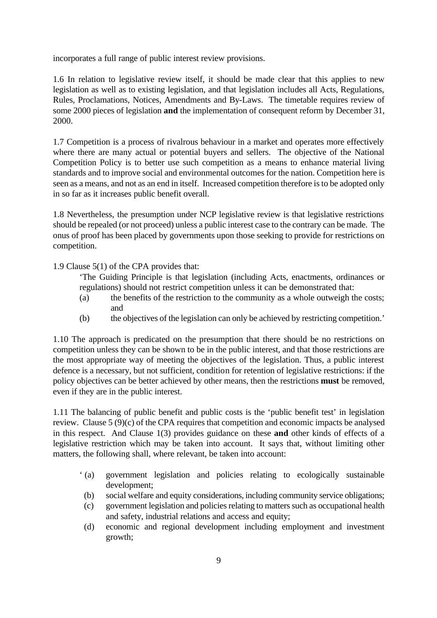incorporates a full range of public interest review provisions.

1.6 In relation to legislative review itself, it should be made clear that this applies to new legislation as well as to existing legislation, and that legislation includes all Acts, Regulations, Rules, Proclamations, Notices, Amendments and By-Laws. The timetable requires review of some 2000 pieces of legislation **and** the implementation of consequent reform by December 31, 2000.

1.7 Competition is a process of rivalrous behaviour in a market and operates more effectively where there are many actual or potential buyers and sellers. The objective of the National Competition Policy is to better use such competition as a means to enhance material living standards and to improve social and environmental outcomes for the nation. Competition here is seen as a means, and not as an end in itself. Increased competition therefore is to be adopted only in so far as it increases public benefit overall.

1.8 Nevertheless, the presumption under NCP legislative review is that legislative restrictions should be repealed (or not proceed) unless a public interest case to the contrary can be made. The onus of proof has been placed by governments upon those seeking to provide for restrictions on competition.

1.9 Clause 5(1) of the CPA provides that:

'The Guiding Principle is that legislation (including Acts, enactments, ordinances or regulations) should not restrict competition unless it can be demonstrated that:

- (a) the benefits of the restriction to the community as a whole outweigh the costs; and
- (b) the objectives of the legislation can only be achieved by restricting competition.'

1.10 The approach is predicated on the presumption that there should be no restrictions on competition unless they can be shown to be in the public interest, and that those restrictions are the most appropriate way of meeting the objectives of the legislation. Thus, a public interest defence is a necessary, but not sufficient, condition for retention of legislative restrictions: if the policy objectives can be better achieved by other means, then the restrictions **must** be removed, even if they are in the public interest.

1.11 The balancing of public benefit and public costs is the 'public benefit test' in legislation review. Clause 5 (9)(c) of the CPA requires that competition and economic impacts be analysed in this respect. And Clause 1(3) provides guidance on these **and** other kinds of effects of a legislative restriction which may be taken into account. It says that, without limiting other matters, the following shall, where relevant, be taken into account:

- ' (a) government legislation and policies relating to ecologically sustainable development;
- (b) social welfare and equity considerations, including community service obligations;
- (c) government legislation and policies relating to matters such as occupational health and safety, industrial relations and access and equity;
- (d) economic and regional development including employment and investment growth;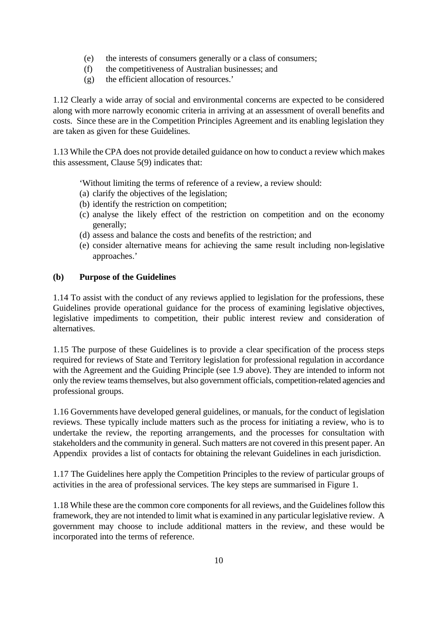- (e) the interests of consumers generally or a class of consumers;
- (f) the competitiveness of Australian businesses; and
- (g) the efficient allocation of resources.'

1.12 Clearly a wide array of social and environmental concerns are expected to be considered along with more narrowly economic criteria in arriving at an assessment of overall benefits and costs. Since these are in the Competition Principles Agreement and its enabling legislation they are taken as given for these Guidelines.

1.13 While the CPA does not provide detailed guidance on how to conduct a review which makes this assessment, Clause 5(9) indicates that:

'Without limiting the terms of reference of a review, a review should:

- (a) clarify the objectives of the legislation;
- (b) identify the restriction on competition;
- (c) analyse the likely effect of the restriction on competition and on the economy generally;
- (d) assess and balance the costs and benefits of the restriction; and
- (e) consider alternative means for achieving the same result including non-legislative approaches.'

#### **(b) Purpose of the Guidelines**

1.14 To assist with the conduct of any reviews applied to legislation for the professions, these Guidelines provide operational guidance for the process of examining legislative objectives, legislative impediments to competition, their public interest review and consideration of alternatives.

1.15 The purpose of these Guidelines is to provide a clear specification of the process steps required for reviews of State and Territory legislation for professional regulation in accordance with the Agreement and the Guiding Principle (see 1.9 above). They are intended to inform not only the review teams themselves, but also government officials, competition-related agencies and professional groups.

1.16 Governments have developed general guidelines, or manuals, for the conduct of legislation reviews. These typically include matters such as the process for initiating a review, who is to undertake the review, the reporting arrangements, and the processes for consultation with stakeholders and the community in general. Such matters are not covered in this present paper. An Appendix provides a list of contacts for obtaining the relevant Guidelines in each jurisdiction.

1.17 The Guidelines here apply the Competition Principles to the review of particular groups of activities in the area of professional services. The key steps are summarised in Figure 1.

1.18 While these are the common core components for all reviews, and the Guidelines follow this framework, they are not intended to limit what is examined in any particular legislative review. A government may choose to include additional matters in the review, and these would be incorporated into the terms of reference.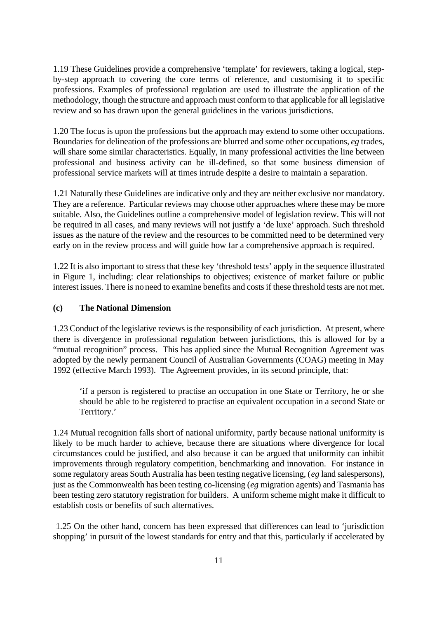1.19 These Guidelines provide a comprehensive 'template' for reviewers, taking a logical, stepby-step approach to covering the core terms of reference, and customising it to specific professions. Examples of professional regulation are used to illustrate the application of the methodology, though the structure and approach must conform to that applicable for all legislative review and so has drawn upon the general guidelines in the various jurisdictions.

1.20 The focus is upon the professions but the approach may extend to some other occupations. Boundaries for delineation of the professions are blurred and some other occupations, *eg* trades, will share some similar characteristics. Equally, in many professional activities the line between professional and business activity can be ill-defined, so that some business dimension of professional service markets will at times intrude despite a desire to maintain a separation.

1.21 Naturally these Guidelines are indicative only and they are neither exclusive nor mandatory. They are a reference. Particular reviews may choose other approaches where these may be more suitable. Also, the Guidelines outline a comprehensive model of legislation review. This will not be required in all cases, and many reviews will not justify a 'de luxe' approach. Such threshold issues as the nature of the review and the resources to be committed need to be determined very early on in the review process and will guide how far a comprehensive approach is required.

1.22 It is also important to stress that these key 'threshold tests' apply in the sequence illustrated in Figure 1, including: clear relationships to objectives; existence of market failure or public interest issues. There is no need to examine benefits and costs if these threshold tests are not met.

#### **(c) The National Dimension**

1.23 Conduct of the legislative reviews is the responsibility of each jurisdiction. At present, where there is divergence in professional regulation between jurisdictions, this is allowed for by a "mutual recognition" process. This has applied since the Mutual Recognition Agreement was adopted by the newly permanent Council of Australian Governments (COAG) meeting in May 1992 (effective March 1993). The Agreement provides, in its second principle, that:

'if a person is registered to practise an occupation in one State or Territory, he or she should be able to be registered to practise an equivalent occupation in a second State or Territory.'

1.24 Mutual recognition falls short of national uniformity, partly because national uniformity is likely to be much harder to achieve, because there are situations where divergence for local circumstances could be justified, and also because it can be argued that uniformity can inhibit improvements through regulatory competition, benchmarking and innovation. For instance in some regulatory areas South Australia has been testing negative licensing, (*eg* land salespersons), just as the Commonwealth has been testing co-licensing (*eg* migration agents) and Tasmania has been testing zero statutory registration for builders. A uniform scheme might make it difficult to establish costs or benefits of such alternatives.

 1.25 On the other hand, concern has been expressed that differences can lead to 'jurisdiction shopping' in pursuit of the lowest standards for entry and that this, particularly if accelerated by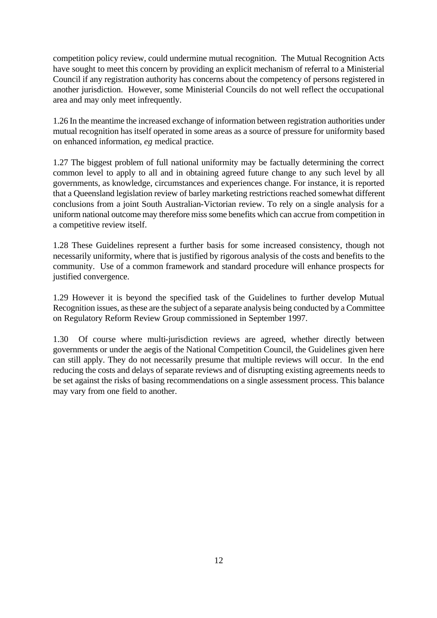competition policy review, could undermine mutual recognition. The Mutual Recognition Acts have sought to meet this concern by providing an explicit mechanism of referral to a Ministerial Council if any registration authority has concerns about the competency of persons registered in another jurisdiction. However, some Ministerial Councils do not well reflect the occupational area and may only meet infrequently.

1.26 In the meantime the increased exchange of information between registration authorities under mutual recognition has itself operated in some areas as a source of pressure for uniformity based on enhanced information, *eg* medical practice.

1.27 The biggest problem of full national uniformity may be factually determining the correct common level to apply to all and in obtaining agreed future change to any such level by all governments, as knowledge, circumstances and experiences change. For instance, it is reported that a Queensland legislation review of barley marketing restrictions reached somewhat different conclusions from a joint South Australian-Victorian review. To rely on a single analysis for a uniform national outcome may therefore miss some benefits which can accrue from competition in a competitive review itself.

1.28 These Guidelines represent a further basis for some increased consistency, though not necessarily uniformity, where that is justified by rigorous analysis of the costs and benefits to the community. Use of a common framework and standard procedure will enhance prospects for justified convergence.

1.29 However it is beyond the specified task of the Guidelines to further develop Mutual Recognition issues, as these are the subject of a separate analysis being conducted by a Committee on Regulatory Reform Review Group commissioned in September 1997.

1.30 Of course where multi-jurisdiction reviews are agreed, whether directly between governments or under the aegis of the National Competition Council, the Guidelines given here can still apply. They do not necessarily presume that multiple reviews will occur. In the end reducing the costs and delays of separate reviews and of disrupting existing agreements needs to be set against the risks of basing recommendations on a single assessment process. This balance may vary from one field to another.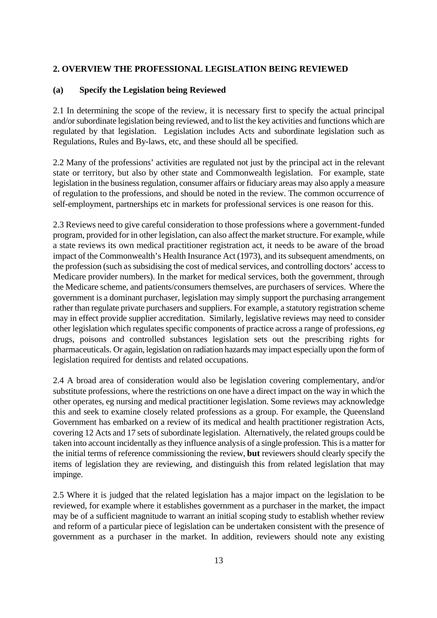#### **2. OVERVIEW THE PROFESSIONAL LEGISLATION BEING REVIEWED**

#### **(a) Specify the Legislation being Reviewed**

2.1 In determining the scope of the review, it is necessary first to specify the actual principal and/or subordinate legislation being reviewed, and to list the key activities and functions which are regulated by that legislation. Legislation includes Acts and subordinate legislation such as Regulations, Rules and By-laws, etc, and these should all be specified.

2.2 Many of the professions' activities are regulated not just by the principal act in the relevant state or territory, but also by other state and Commonwealth legislation. For example, state legislation in the business regulation, consumer affairs or fiduciary areas may also apply a measure of regulation to the professions, and should be noted in the review. The common occurrence of self-employment, partnerships etc in markets for professional services is one reason for this.

2.3 Reviews need to give careful consideration to those professions where a government-funded program, provided for in other legislation, can also affect the market structure. For example, while a state reviews its own medical practitioner registration act, it needs to be aware of the broad impact of the Commonwealth's Health Insurance Act (1973), and its subsequent amendments, on the profession (such as subsidising the cost of medical services, and controlling doctors' access to Medicare provider numbers). In the market for medical services, both the government, through the Medicare scheme, and patients/consumers themselves, are purchasers of services. Where the government is a dominant purchaser, legislation may simply support the purchasing arrangement rather than regulate private purchasers and suppliers. For example, a statutory registration scheme may in effect provide supplier accreditation. Similarly, legislative reviews may need to consider other legislation which regulates specific components of practice across a range of professions, *eg*  drugs, poisons and controlled substances legislation sets out the prescribing rights for pharmaceuticals. Or again, legislation on radiation hazards may impact especially upon the form of legislation required for dentists and related occupations.

2.4 A broad area of consideration would also be legislation covering complementary, and/or substitute professions, where the restrictions on one have a direct impact on the way in which the other operates, eg nursing and medical practitioner legislation. Some reviews may acknowledge this and seek to examine closely related professions as a group. For example, the Queensland Government has embarked on a review of its medical and health practitioner registration Acts, covering 12 Acts and 17 sets of subordinate legislation. Alternatively, the related groups could be taken into account incidentally as they influence analysis of a single profession. This is a matter for the initial terms of reference commissioning the review, **but** reviewers should clearly specify the items of legislation they are reviewing, and distinguish this from related legislation that may impinge.

2.5 Where it is judged that the related legislation has a major impact on the legislation to be reviewed, for example where it establishes government as a purchaser in the market, the impact may be of a sufficient magnitude to warrant an initial scoping study to establish whether review and reform of a particular piece of legislation can be undertaken consistent with the presence of government as a purchaser in the market. In addition, reviewers should note any existing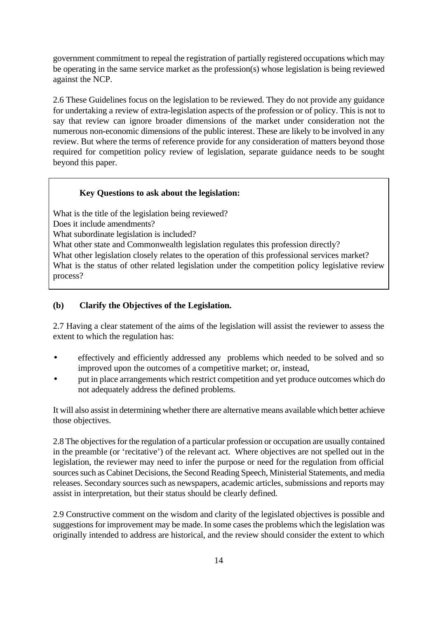government commitment to repeal the registration of partially registered occupations which may be operating in the same service market as the profession(s) whose legislation is being reviewed against the NCP.

2.6 These Guidelines focus on the legislation to be reviewed. They do not provide any guidance for undertaking a review of extra-legislation aspects of the profession or of policy. This is not to say that review can ignore broader dimensions of the market under consideration not the numerous non-economic dimensions of the public interest. These are likely to be involved in any review. But where the terms of reference provide for any consideration of matters beyond those required for competition policy review of legislation, separate guidance needs to be sought beyond this paper.

#### **Key Questions to ask about the legislation:**

What is the title of the legislation being reviewed? Does it include amendments? What subordinate legislation is included? What other state and Commonwealth legislation regulates this profession directly? What other legislation closely relates to the operation of this professional services market? What is the status of other related legislation under the competition policy legislative review process?

#### **(b) Clarify the Objectives of the Legislation.**

2.7 Having a clear statement of the aims of the legislation will assist the reviewer to assess the extent to which the regulation has:

- effectively and efficiently addressed any problems which needed to be solved and so improved upon the outcomes of a competitive market; or, instead,
- put in place arrangements which restrict competition and yet produce outcomes which do not adequately address the defined problems.

It will also assist in determining whether there are alternative means available which better achieve those objectives.

2.8 The objectives for the regulation of a particular profession or occupation are usually contained in the preamble (or 'recitative') of the relevant act. Where objectives are not spelled out in the legislation, the reviewer may need to infer the purpose or need for the regulation from official sources such as Cabinet Decisions, the Second Reading Speech, Ministerial Statements, and media releases. Secondary sources such as newspapers, academic articles, submissions and reports may assist in interpretation, but their status should be clearly defined.

2.9 Constructive comment on the wisdom and clarity of the legislated objectives is possible and suggestions for improvement may be made. In some cases the problems which the legislation was originally intended to address are historical, and the review should consider the extent to which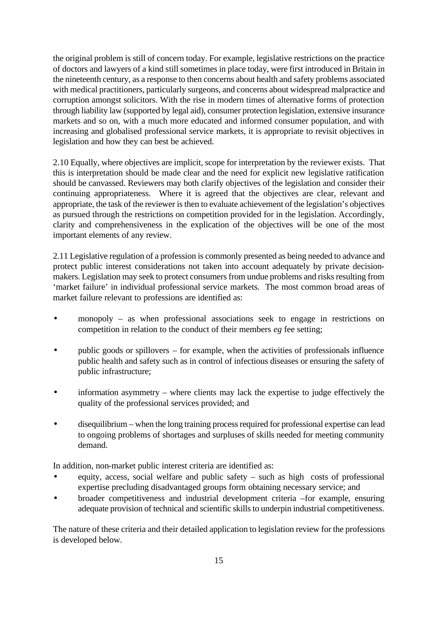the original problem is still of concern today. For example, legislative restrictions on the practice of doctors and lawyers of a kind still sometimes in place today, were first introduced in Britain in the nineteenth century, as a response to then concerns about health and safety problems associated with medical practitioners, particularly surgeons, and concerns about widespread malpractice and corruption amongst solicitors. With the rise in modern times of alternative forms of protection through liability law (supported by legal aid), consumer protection legislation, extensive insurance markets and so on, with a much more educated and informed consumer population, and with increasing and globalised professional service markets, it is appropriate to revisit objectives in legislation and how they can best be achieved.

2.10 Equally, where objectives are implicit, scope for interpretation by the reviewer exists. That this is interpretation should be made clear and the need for explicit new legislative ratification should be canvassed. Reviewers may both clarify objectives of the legislation and consider their continuing appropriateness. Where it is agreed that the objectives are clear, relevant and appropriate, the task of the reviewer is then to evaluate achievement of the legislation's objectives as pursued through the restrictions on competition provided for in the legislation. Accordingly, clarity and comprehensiveness in the explication of the objectives will be one of the most important elements of any review.

2.11 Legislative regulation of a profession is commonly presented as being needed to advance and protect public interest considerations not taken into account adequately by private decisionmakers. Legislation may seek to protect consumers from undue problems and risks resulting from 'market failure' in individual professional service markets. The most common broad areas of market failure relevant to professions are identified as:

- monopoly as when professional associations seek to engage in restrictions on competition in relation to the conduct of their members *eg* fee setting;
- public goods or spillovers for example, when the activities of professionals influence public health and safety such as in control of infectious diseases or ensuring the safety of public infrastructure;
- information asymmetry where clients may lack the expertise to judge effectively the quality of the professional services provided; and
- disequilibrium when the long training process required for professional expertise can lead to ongoing problems of shortages and surpluses of skills needed for meeting community demand.

In addition, non-market public interest criteria are identified as:

- equity, access, social welfare and public safety such as high costs of professional expertise precluding disadvantaged groups form obtaining necessary service; and
- broader competitiveness and industrial development criteria –for example, ensuring adequate provision of technical and scientific skills to underpin industrial competitiveness.

The nature of these criteria and their detailed application to legislation review for the professions is developed below.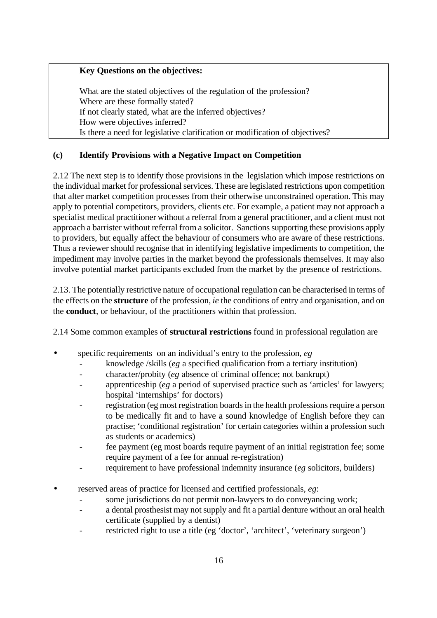# **Key Questions on the objectives:**

What are the stated objectives of the regulation of the profession? Where are these formally stated? If not clearly stated, what are the inferred objectives? How were objectives inferred? Is there a need for legislative clarification or modification of objectives?

# **(c) Identify Provisions with a Negative Impact on Competition**

2.12 The next step is to identify those provisions in the legislation which impose restrictions on the individual market for professional services. These are legislated restrictions upon competition that alter market competition processes from their otherwise unconstrained operation. This may apply to potential competitors, providers, clients etc. For example, a patient may not approach a specialist medical practitioner without a referral from a general practitioner, and a client must not approach a barrister without referral from a solicitor. Sanctions supporting these provisions apply to providers, but equally affect the behaviour of consumers who are aware of these restrictions. Thus a reviewer should recognise that in identifying legislative impediments to competition, the impediment may involve parties in the market beyond the professionals themselves. It may also involve potential market participants excluded from the market by the presence of restrictions.

2.13. The potentially restrictive nature of occupational regulation can be characterised in terms of the effects on the **structure** of the profession, *ie* the conditions of entry and organisation, and on the **conduct**, or behaviour*,* of the practitioners within that profession.

2.14 Some common examples of **structural restrictions** found in professional regulation are

- specific requirements on an individual's entry to the profession, *eg* 
	- knowledge /skills (*eg* a specified qualification from a tertiary institution)
	- character/probity (*eg* absence of criminal offence; not bankrupt)
	- apprenticeship (*eg* a period of supervised practice such as 'articles' for lawyers; hospital 'internships' for doctors)
	- registration (eg most registration boards in the health professions require a person to be medically fit and to have a sound knowledge of English before they can practise; 'conditional registration' for certain categories within a profession such as students or academics)
	- fee payment (eg most boards require payment of an initial registration fee; some require payment of a fee for annual re-registration)
	- requirement to have professional indemnity insurance (*eg* solicitors, builders)
- reserved areas of practice for licensed and certified professionals, *eg*:
	- some jurisdictions do not permit non-lawyers to do conveyancing work;
	- a dental prosthesist may not supply and fit a partial denture without an oral health certificate (supplied by a dentist)
	- restricted right to use a title (eg 'doctor', 'architect', 'veterinary surgeon')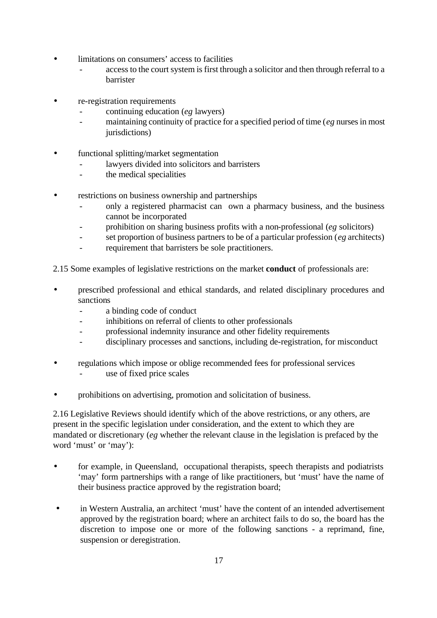- limitations on consumers' access to facilities
	- access to the court system is first through a solicitor and then through referral to a barrister
- re-registration requirements
	- continuing education (*eg* lawyers)
	- maintaining continuity of practice for a specified period of time (*eg* nurses in most jurisdictions)
- functional splitting/market segmentation
	- lawyers divided into solicitors and barristers
	- the medical specialities
- restrictions on business ownership and partnerships
	- only a registered pharmacist can own a pharmacy business, and the business cannot be incorporated
	- prohibition on sharing business profits with a non-professional (*eg* solicitors)
	- set proportion of business partners to be of a particular profession (*eg* architects)
	- requirement that barristers be sole practitioners.
- 2.15 Some examples of legislative restrictions on the market **conduct** of professionals are:
- prescribed professional and ethical standards, and related disciplinary procedures and sanctions
	- a binding code of conduct
	- inhibitions on referral of clients to other professionals
	- professional indemnity insurance and other fidelity requirements
	- disciplinary processes and sanctions, including de-registration, for misconduct
- regulations which impose or oblige recommended fees for professional services use of fixed price scales
- prohibitions on advertising, promotion and solicitation of business.

2.16 Legislative Reviews should identify which of the above restrictions, or any others, are present in the specific legislation under consideration, and the extent to which they are mandated or discretionary (*eg* whether the relevant clause in the legislation is prefaced by the word 'must' or 'may'):

- for example, in Queensland, occupational therapists, speech therapists and podiatrists 'may' form partnerships with a range of like practitioners, but 'must' have the name of their business practice approved by the registration board;
- in Western Australia, an architect 'must' have the content of an intended advertisement approved by the registration board; where an architect fails to do so, the board has the discretion to impose one or more of the following sanctions - a reprimand, fine, suspension or deregistration.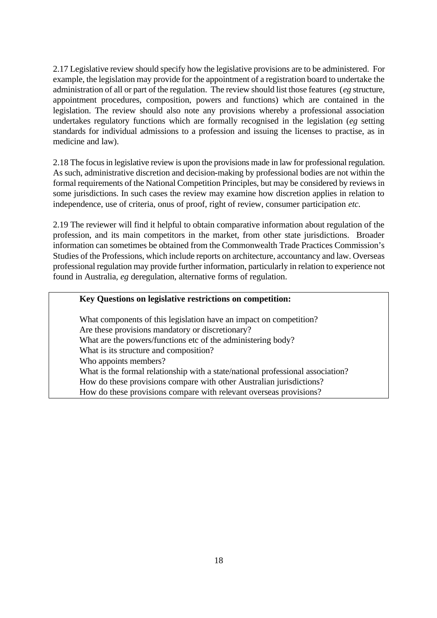2.17 Legislative review should specify how the legislative provisions are to be administered. For example, the legislation may provide for the appointment of a registration board to undertake the administration of all or part of the regulation. The review should list those features (*eg* structure, appointment procedures, composition, powers and functions) which are contained in the legislation. The review should also note any provisions whereby a professional association undertakes regulatory functions which are formally recognised in the legislation (*eg* setting standards for individual admissions to a profession and issuing the licenses to practise, as in medicine and law).

2.18 The focus in legislative review is upon the provisions made in law for professional regulation. As such, administrative discretion and decision-making by professional bodies are not within the formal requirements of the National Competition Principles, but may be considered by reviews in some jurisdictions. In such cases the review may examine how discretion applies in relation to independence, use of criteria, onus of proof, right of review, consumer participation *etc.*

2.19 The reviewer will find it helpful to obtain comparative information about regulation of the profession, and its main competitors in the market, from other state jurisdictions. Broader information can sometimes be obtained from the Commonwealth Trade Practices Commission's Studies of the Professions, which include reports on architecture, accountancy and law. Overseas professional regulation may provide further information, particularly in relation to experience not found in Australia, *eg* deregulation, alternative forms of regulation.

#### **Key Questions on legislative restrictions on competition:**

What components of this legislation have an impact on competition? Are these provisions mandatory or discretionary? What are the powers/functions etc of the administering body? What is its structure and composition? Who appoints members? What is the formal relationship with a state/national professional association? How do these provisions compare with other Australian jurisdictions? How do these provisions compare with relevant overseas provisions?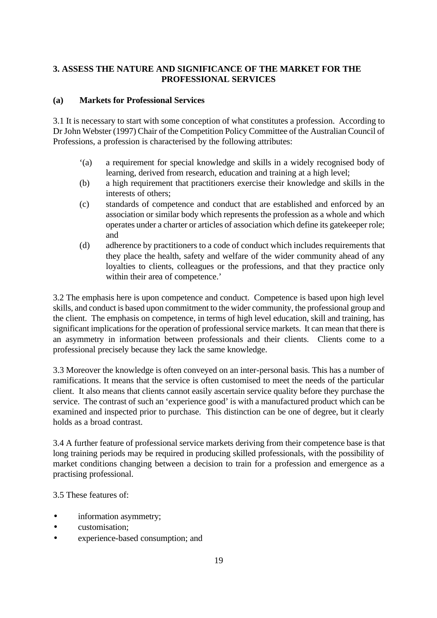# **3. ASSESS THE NATURE AND SIGNIFICANCE OF THE MARKET FOR THE PROFESSIONAL SERVICES**

#### **(a) Markets for Professional Services**

3.1 It is necessary to start with some conception of what constitutes a profession. According to Dr John Webster (1997) Chair of the Competition Policy Committee of the Australian Council of Professions, a profession is characterised by the following attributes:

- '(a) a requirement for special knowledge and skills in a widely recognised body of learning, derived from research, education and training at a high level;
- (b) a high requirement that practitioners exercise their knowledge and skills in the interests of others;
- (c) standards of competence and conduct that are established and enforced by an association or similar body which represents the profession as a whole and which operates under a charter or articles of association which define its gatekeeper role; and
- (d) adherence by practitioners to a code of conduct which includes requirements that they place the health, safety and welfare of the wider community ahead of any loyalties to clients, colleagues or the professions, and that they practice only within their area of competence.'

3.2 The emphasis here is upon competence and conduct. Competence is based upon high level skills, and conduct is based upon commitment to the wider community, the professional group and the client. The emphasis on competence, in terms of high level education, skill and training, has significant implications for the operation of professional service markets. It can mean that there is an asymmetry in information between professionals and their clients. Clients come to a professional precisely because they lack the same knowledge.

3.3 Moreover the knowledge is often conveyed on an inter-personal basis. This has a number of ramifications. It means that the service is often customised to meet the needs of the particular client. It also means that clients cannot easily ascertain service quality before they purchase the service. The contrast of such an 'experience good' is with a manufactured product which can be examined and inspected prior to purchase. This distinction can be one of degree, but it clearly holds as a broad contrast.

3.4 A further feature of professional service markets deriving from their competence base is that long training periods may be required in producing skilled professionals, with the possibility of market conditions changing between a decision to train for a profession and emergence as a practising professional.

3.5 These features of:

- information asymmetry;
- customisation:
- experience-based consumption; and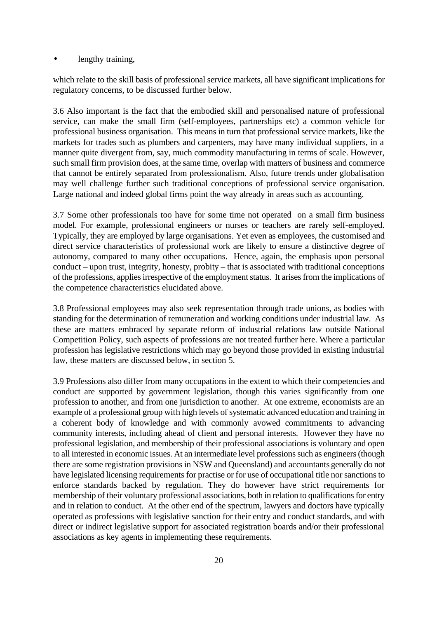#### lengthy training,

which relate to the skill basis of professional service markets, all have significant implications for regulatory concerns, to be discussed further below.

3.6 Also important is the fact that the embodied skill and personalised nature of professional service, can make the small firm (self-employees, partnerships etc) a common vehicle for professional business organisation. This means in turn that professional service markets, like the markets for trades such as plumbers and carpenters, may have many individual suppliers, in a manner quite divergent from, say, much commodity manufacturing in terms of scale. However, such small firm provision does, at the same time, overlap with matters of business and commerce that cannot be entirely separated from professionalism. Also, future trends under globalisation may well challenge further such traditional conceptions of professional service organisation. Large national and indeed global firms point the way already in areas such as accounting.

3.7 Some other professionals too have for some time not operated on a small firm business model. For example, professional engineers or nurses or teachers are rarely self-employed. Typically, they are employed by large organisations. Yet even as employees, the customised and direct service characteristics of professional work are likely to ensure a distinctive degree of autonomy, compared to many other occupations. Hence, again, the emphasis upon personal conduct – upon trust, integrity, honesty, probity – that is associated with traditional conceptions of the professions, applies irrespective of the employment status. It arises from the implications of the competence characteristics elucidated above.

3.8 Professional employees may also seek representation through trade unions, as bodies with standing for the determination of remuneration and working conditions under industrial law. As these are matters embraced by separate reform of industrial relations law outside National Competition Policy, such aspects of professions are not treated further here. Where a particular profession has legislative restrictions which may go beyond those provided in existing industrial law, these matters are discussed below, in section 5.

3.9 Professions also differ from many occupations in the extent to which their competencies and conduct are supported by government legislation, though this varies significantly from one profession to another, and from one jurisdiction to another. At one extreme, economists are an example of a professional group with high levels of systematic advanced education and training in a coherent body of knowledge and with commonly avowed commitments to advancing community interests, including ahead of client and personal interests. However they have no professional legislation, and membership of their professional associations is voluntary and open to all interested in economic issues. At an intermediate level professions such as engineers (though there are some registration provisions in NSW and Queensland) and accountants generally do not have legislated licensing requirements for practise or for use of occupational title nor sanctions to enforce standards backed by regulation. They do however have strict requirements for membership of their voluntary professional associations, both in relation to qualifications for entry and in relation to conduct. At the other end of the spectrum, lawyers and doctors have typically operated as professions with legislative sanction for their entry and conduct standards, and with direct or indirect legislative support for associated registration boards and/or their professional associations as key agents in implementing these requirements.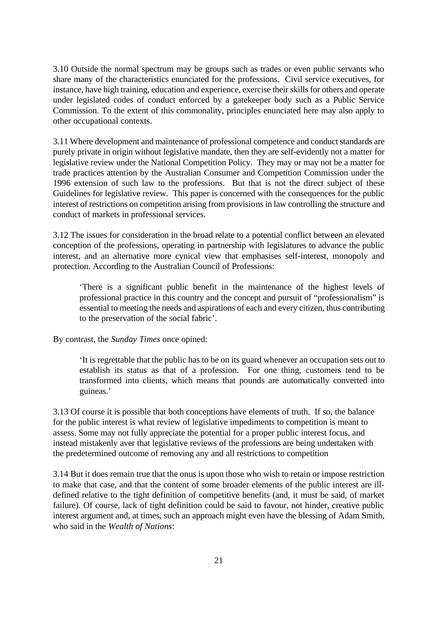3.10 Outside the normal spectrum may be groups such as trades or even public servants who share many of the characteristics enunciated for the professions. Civil service executives, for instance, have high training, education and experience, exercise their skills for others and operate under legislated codes of conduct enforced by a gatekeeper body such as a Public Service Commission. To the extent of this commonality, principles enunciated here may also apply to other occupational contexts.

3.11 Where development and maintenance of professional competence and conduct standards are purely private in origin without legislative mandate, then they are self-evidently not a matter for legislative review under the National Competition Policy. They may or may not be a matter for trade practices attention by the Australian Consumer and Competition Commission under the 1996 extension of such law to the professions. But that is not the direct subject of these Guidelines for legislative review. This paper is concerned with the consequences for the public interest of restrictions on competition arising from provisions in law controlling the structure and conduct of markets in professional services.

3.12 The issues for consideration in the broad relate to a potential conflict between an elevated conception of the professions, operating in partnership with legislatures to advance the public interest, and an alternative more cynical view that emphasises self-interest, monopoly and protection. According to the Australian Council of Professions:

'There is a significant public benefit in the maintenance of the highest levels of professional practice in this country and the concept and pursuit of "professionalism" is essential to meeting the needs and aspirations of each and every citizen, thus contributing to the preservation of the social fabric'.

By contrast, the *Sunday Times* once opined:

'It is regrettable that the public has to be on its guard whenever an occupation sets out to establish its status as that of a profession. For one thing, customers tend to be transformed into clients, which means that pounds are automatically converted into guineas.'

3.13 Of course it is possible that both conceptions have elements of truth. If so, the balance for the public interest is what review of legislative impediments to competition is meant to assess. Some may not fully appreciate the potential for a proper public interest focus, and instead mistakenly aver that legislative reviews of the professions are being undertaken with the predetermined outcome of removing any and all restrictions to competition

3.14 But it does remain true that the onus is upon those who wish to retain or impose restriction to make that case, and that the content of some broader elements of the public interest are illdefined relative to the tight definition of competitive benefits (and, it must be said, of market failure). Of course, lack of tight definition could be said to favour, not hinder, creative public interest argument and, at times, such an approach might even have the blessing of Adam Smith, who said in the *Wealth of Nations*: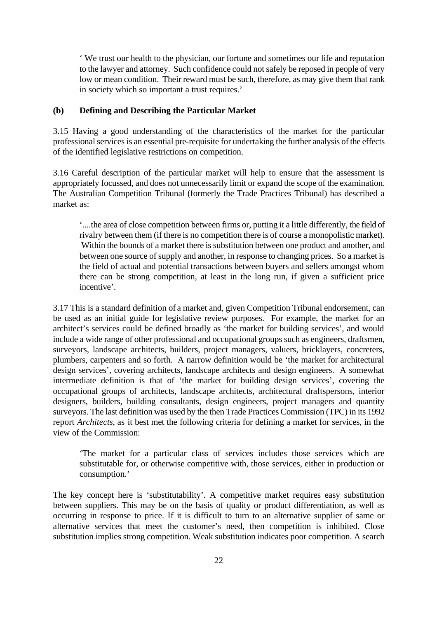' We trust our health to the physician, our fortune and sometimes our life and reputation to the lawyer and attorney. Such confidence could not safely be reposed in people of very low or mean condition. Their reward must be such, therefore, as may give them that rank in society which so important a trust requires.'

#### **(b) Defining and Describing the Particular Market**

3.15 Having a good understanding of the characteristics of the market for the particular professional services is an essential pre-requisite for undertaking the further analysis of the effects of the identified legislative restrictions on competition.

3.16 Careful description of the particular market will help to ensure that the assessment is appropriately focussed, and does not unnecessarily limit or expand the scope of the examination. The Australian Competition Tribunal (formerly the Trade Practices Tribunal) has described a market as:

'....the area of close competition between firms or, putting it a little differently, the field of rivalry between them (if there is no competition there is of course a monopolistic market). Within the bounds of a market there is substitution between one product and another, and between one source of supply and another, in response to changing prices. So a market is the field of actual and potential transactions between buyers and sellers amongst whom there can be strong competition, at least in the long run, if given a sufficient price incentive'.

3.17 This is a standard definition of a market and, given Competition Tribunal endorsement, can be used as an initial guide for legislative review purposes. For example, the market for an architect's services could be defined broadly as 'the market for building services', and would include a wide range of other professional and occupational groups such as engineers, draftsmen, surveyors, landscape architects, builders, project managers, valuers, bricklayers, concreters, plumbers, carpenters and so forth. A narrow definition would be 'the market for architectural design services', covering architects, landscape architects and design engineers. A somewhat intermediate definition is that of 'the market for building design services', covering the occupational groups of architects, landscape architects, architectural draftspersons, interior designers, builders, building consultants, design engineers, project managers and quantity surveyors. The last definition was used by the then Trade Practices Commission (TPC) in its 1992 report *Architects*, as it best met the following criteria for defining a market for services, in the view of the Commission:

'The market for a particular class of services includes those services which are substitutable for, or otherwise competitive with, those services, either in production or consumption.'

The key concept here is 'substitutability'. A competitive market requires easy substitution between suppliers. This may be on the basis of quality or product differentiation, as well as occurring in response to price. If it is difficult to turn to an alternative supplier of same or alternative services that meet the customer's need, then competition is inhibited. Close substitution implies strong competition. Weak substitution indicates poor competition. A search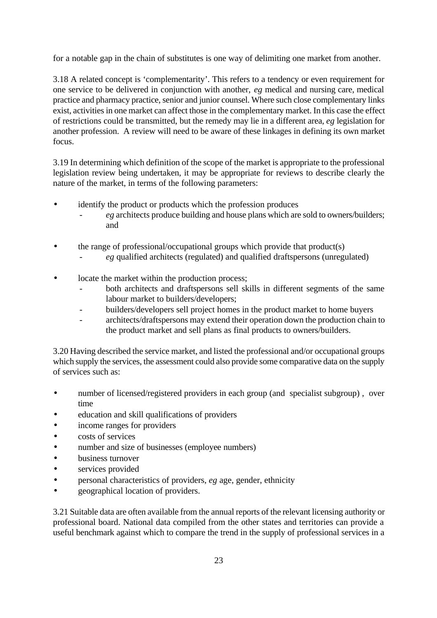for a notable gap in the chain of substitutes is one way of delimiting one market from another.

3.18 A related concept is 'complementarity'. This refers to a tendency or even requirement for one service to be delivered in conjunction with another, *eg* medical and nursing care, medical practice and pharmacy practice, senior and junior counsel. Where such close complementary links exist, activities in one market can affect those in the complementary market. In this case the effect of restrictions could be transmitted, but the remedy may lie in a different area, *eg* legislation for another profession. A review will need to be aware of these linkages in defining its own market focus.

3.19 In determining which definition of the scope of the market is appropriate to the professional legislation review being undertaken, it may be appropriate for reviews to describe clearly the nature of the market, in terms of the following parameters:

- identify the product or products which the profession produces
	- *eg* architects produce building and house plans which are sold to owners/builders; and
- the range of professional/occupational groups which provide that product(s)
	- eg qualified architects (regulated) and qualified draftspersons (unregulated)
- locate the market within the production process;
	- both architects and draftspersons sell skills in different segments of the same labour market to builders/developers;
	- builders/developers sell project homes in the product market to home buyers
	- architects/draftspersons may extend their operation down the production chain to the product market and sell plans as final products to owners/builders.

3.20 Having described the service market, and listed the professional and/or occupational groups which supply the services, the assessment could also provide some comparative data on the supply of services such as:

- number of licensed/registered providers in each group (and specialist subgroup), over time
- education and skill qualifications of providers
- income ranges for providers
- costs of services
- number and size of businesses (employee numbers)
- business turnover
- services provided
- personal characteristics of providers, *eg* age, gender, ethnicity
- geographical location of providers.

3.21 Suitable data are often available from the annual reports of the relevant licensing authority or professional board. National data compiled from the other states and territories can provide a useful benchmark against which to compare the trend in the supply of professional services in a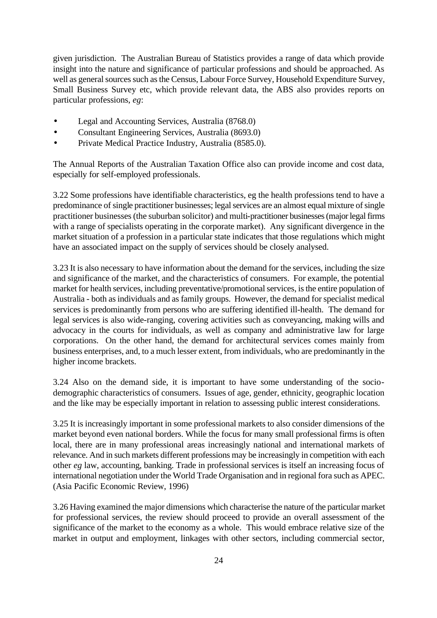given jurisdiction. The Australian Bureau of Statistics provides a range of data which provide insight into the nature and significance of particular professions and should be approached. As well as general sources such as the Census, Labour Force Survey, Household Expenditure Survey, Small Business Survey etc, which provide relevant data, the ABS also provides reports on particular professions, *eg*:

- Legal and Accounting Services, Australia (8768.0)
- Consultant Engineering Services, Australia (8693.0)
- Private Medical Practice Industry, Australia (8585.0).

The Annual Reports of the Australian Taxation Office also can provide income and cost data, especially for self-employed professionals.

3.22 Some professions have identifiable characteristics, eg the health professions tend to have a predominance of single practitioner businesses; legal services are an almost equal mixture of single practitioner businesses (the suburban solicitor) and multi-practitioner businesses (major legal firms with a range of specialists operating in the corporate market). Any significant divergence in the market situation of a profession in a particular state indicates that those regulations which might have an associated impact on the supply of services should be closely analysed.

3.23 It is also necessary to have information about the demand for the services, including the size and significance of the market, and the characteristics of consumers. For example, the potential market for health services, including preventative/promotional services, is the entire population of Australia - both as individuals and as family groups. However, the demand for specialist medical services is predominantly from persons who are suffering identified ill-health. The demand for legal services is also wide-ranging, covering activities such as conveyancing, making wills and advocacy in the courts for individuals, as well as company and administrative law for large corporations. On the other hand, the demand for architectural services comes mainly from business enterprises, and, to a much lesser extent, from individuals, who are predominantly in the higher income brackets.

3.24 Also on the demand side, it is important to have some understanding of the sociodemographic characteristics of consumers. Issues of age, gender, ethnicity, geographic location and the like may be especially important in relation to assessing public interest considerations.

3.25 It is increasingly important in some professional markets to also consider dimensions of the market beyond even national borders. While the focus for many small professional firms is often local, there are in many professional areas increasingly national and international markets of relevance. And in such markets different professions may be increasingly in competition with each other *eg* law, accounting, banking. Trade in professional services is itself an increasing focus of international negotiation under the World Trade Organisation and in regional fora such as APEC. (Asia Pacific Economic Review, 1996)

3.26 Having examined the major dimensions which characterise the nature of the particular market for professional services, the review should proceed to provide an overall assessment of the significance of the market to the economy as a whole. This would embrace relative size of the market in output and employment, linkages with other sectors, including commercial sector,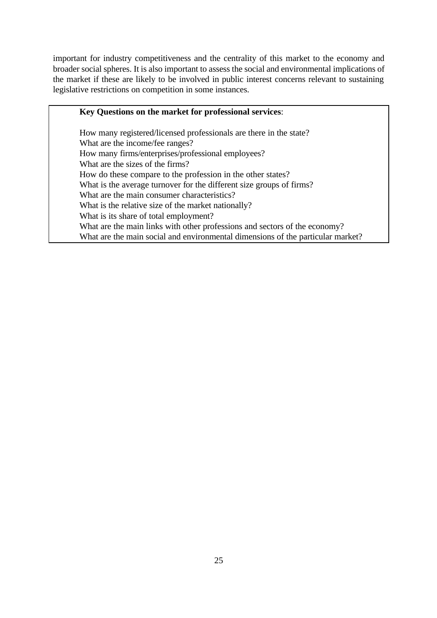important for industry competitiveness and the centrality of this market to the economy and broader social spheres. It is also important to assess the social and environmental implications of the market if these are likely to be involved in public interest concerns relevant to sustaining legislative restrictions on competition in some instances.

# **Key Questions on the market for professional services**:

How many registered/licensed professionals are there in the state? What are the income/fee ranges? How many firms/enterprises/professional employees? What are the sizes of the firms? How do these compare to the profession in the other states? What is the average turnover for the different size groups of firms? What are the main consumer characteristics? What is the relative size of the market nationally? What is its share of total employment? What are the main links with other professions and sectors of the economy? What are the main social and environmental dimensions of the particular market?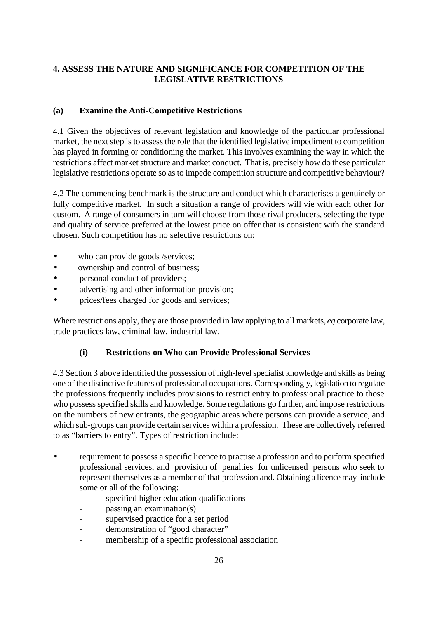# **4. ASSESS THE NATURE AND SIGNIFICANCE FOR COMPETITION OF THE LEGISLATIVE RESTRICTIONS**

# **(a) Examine the Anti-Competitive Restrictions**

4.1 Given the objectives of relevant legislation and knowledge of the particular professional market, the next step is to assess the role that the identified legislative impediment to competition has played in forming or conditioning the market. This involves examining the way in which the restrictions affect market structure and market conduct. That is, precisely how do these particular legislative restrictions operate so as to impede competition structure and competitive behaviour?

4.2 The commencing benchmark is the structure and conduct which characterises a genuinely or fully competitive market. In such a situation a range of providers will vie with each other for custom. A range of consumers in turn will choose from those rival producers, selecting the type and quality of service preferred at the lowest price on offer that is consistent with the standard chosen. Such competition has no selective restrictions on:

- who can provide goods /services;
- ownership and control of business;
- personal conduct of providers;
- advertising and other information provision;
- prices/fees charged for goods and services;

Where restrictions apply, they are those provided in law applying to all markets, *eg* corporate law, trade practices law, criminal law, industrial law.

# **(i) Restrictions on Who can Provide Professional Services**

4.3 Section 3 above identified the possession of high-level specialist knowledge and skills as being one of the distinctive features of professional occupations*.* Correspondingly, legislation to regulate the professions frequently includes provisions to restrict entry to professional practice to those who possess specified skills and knowledge. Some regulations go further, and impose restrictions on the numbers of new entrants, the geographic areas where persons can provide a service, and which sub-groups can provide certain services within a profession. These are collectively referred to as "barriers to entry". Types of restriction include:

- requirement to possess a specific licence to practise a profession and to perform specified professional services, and provision of penalties for unlicensed persons who seek to represent themselves as a member of that profession and. Obtaining a licence may include some or all of the following:
	- specified higher education qualifications
	- passing an examination(s)
	- supervised practice for a set period
	- demonstration of "good character"
	- membership of a specific professional association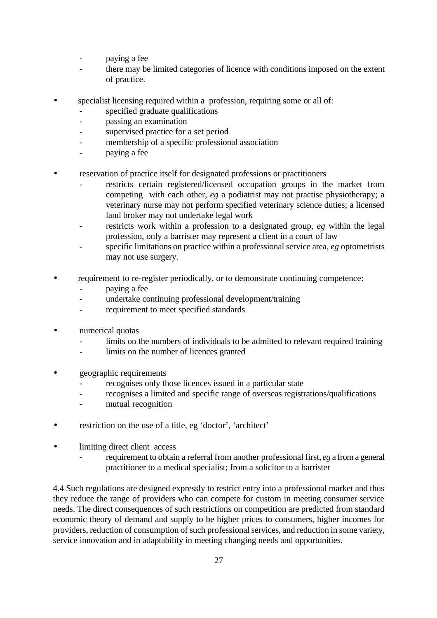- paying a fee
- there may be limited categories of licence with conditions imposed on the extent of practice.
- specialist licensing required within a profession, requiring some or all of:
	- specified graduate qualifications
	- passing an examination
	- supervised practice for a set period
	- membership of a specific professional association
	- paying a fee
- reservation of practice itself for designated professions or practitioners
	- restricts certain registered/licensed occupation groups in the market from competing with each other, *eg* a podiatrist may not practise physiotherapy; a veterinary nurse may not perform specified veterinary science duties; a licensed land broker may not undertake legal work
	- restricts work within a profession to a designated group, eg within the legal profession, only a barrister may represent a client in a court of law
	- specific limitations on practice within a professional service area, *eg* optometrists may not use surgery.
- requirement to re-register periodically, or to demonstrate continuing competence:
	- paying a fee
	- undertake continuing professional development/training
	- requirement to meet specified standards
- numerical quotas
	- limits on the numbers of individuals to be admitted to relevant required training
	- limits on the number of licences granted
- geographic requirements
	- recognises only those licences issued in a particular state
	- recognises a limited and specific range of overseas registrations/qualifications
	- mutual recognition
- restriction on the use of a title, eg 'doctor', 'architect'
- limiting direct client access
	- requirement to obtain a referral from another professional first, *eg* a from a general practitioner to a medical specialist; from a solicitor to a barrister

4.4 Such regulations are designed expressly to restrict entry into a professional market and thus they reduce the range of providers who can compete for custom in meeting consumer service needs. The direct consequences of such restrictions on competition are predicted from standard economic theory of demand and supply to be higher prices to consumers, higher incomes for providers, reduction of consumption of such professional services, and reduction in some variety, service innovation and in adaptability in meeting changing needs and opportunities.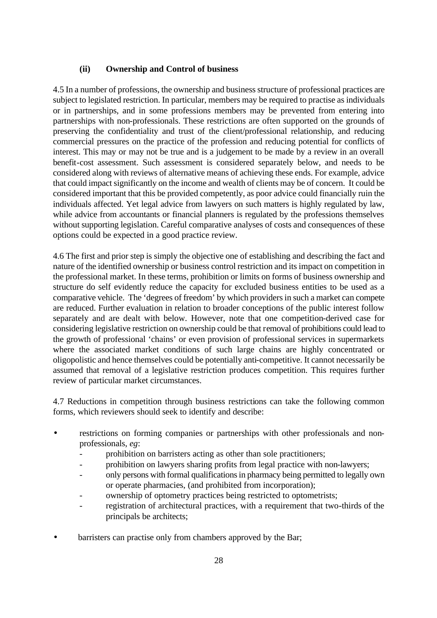#### **(ii) Ownership and Control of business**

4.5 In a number of professions, the ownership and business structure of professional practices are subject to legislated restriction. In particular, members may be required to practise as individuals or in partnerships, and in some professions members may be prevented from entering into partnerships with non-professionals. These restrictions are often supported on the grounds of preserving the confidentiality and trust of the client/professional relationship, and reducing commercial pressures on the practice of the profession and reducing potential for conflicts of interest. This may or may not be true and is a judgement to be made by a review in an overall benefit-cost assessment. Such assessment is considered separately below, and needs to be considered along with reviews of alternative means of achieving these ends. For example, advice that could impact significantly on the income and wealth of clients may be of concern. It could be considered important that this be provided competently, as poor advice could financially ruin the individuals affected. Yet legal advice from lawyers on such matters is highly regulated by law, while advice from accountants or financial planners is regulated by the professions themselves without supporting legislation. Careful comparative analyses of costs and consequences of these options could be expected in a good practice review.

4.6 The first and prior step is simply the objective one of establishing and describing the fact and nature of the identified ownership or business control restriction and its impact on competition in the professional market. In these terms, prohibition or limits on forms of business ownership and structure do self evidently reduce the capacity for excluded business entities to be used as a comparative vehicle. The 'degrees of freedom' by which providers in such a market can compete are reduced. Further evaluation in relation to broader conceptions of the public interest follow separately and are dealt with below. However, note that one competition-derived case for considering legislative restriction on ownership could be that removal of prohibitions could lead to the growth of professional 'chains' or even provision of professional services in supermarkets where the associated market conditions of such large chains are highly concentrated or oligopolistic and hence themselves could be potentially anti-competitive. It cannot necessarily be assumed that removal of a legislative restriction produces competition. This requires further review of particular market circumstances.

4.7 Reductions in competition through business restrictions can take the following common forms, which reviewers should seek to identify and describe:

- restrictions on forming companies or partnerships with other professionals and nonprofessionals, *eg*:
	- prohibition on barristers acting as other than sole practitioners;
	- prohibition on lawyers sharing profits from legal practice with non-lawyers;
	- only persons with formal qualifications in pharmacy being permitted to legally own or operate pharmacies, (and prohibited from incorporation);
	- ownership of optometry practices being restricted to optometrists;
	- registration of architectural practices, with a requirement that two-thirds of the principals be architects;
- barristers can practise only from chambers approved by the Bar;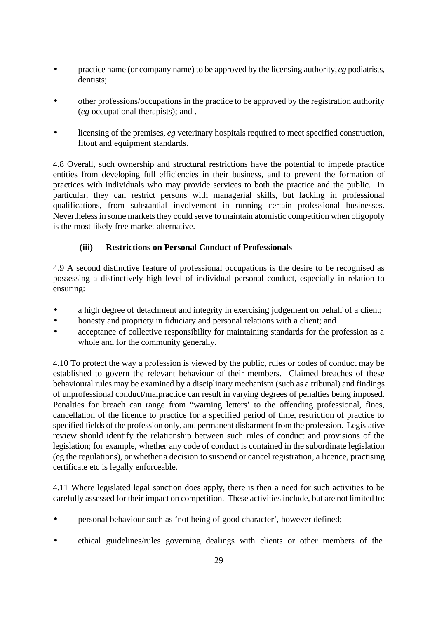- practice name (or company name) to be approved by the licensing authority, *eg* podiatrists, dentists;
- other professions/occupations in the practice to be approved by the registration authority (*eg* occupational therapists); and .
- licensing of the premises, *eg* veterinary hospitals required to meet specified construction, fitout and equipment standards.

4.8 Overall, such ownership and structural restrictions have the potential to impede practice entities from developing full efficiencies in their business, and to prevent the formation of practices with individuals who may provide services to both the practice and the public. In particular, they can restrict persons with managerial skills, but lacking in professional qualifications, from substantial involvement in running certain professional businesses. Nevertheless in some markets they could serve to maintain atomistic competition when oligopoly is the most likely free market alternative.

# **(iii) Restrictions on Personal Conduct of Professionals**

4.9 A second distinctive feature of professional occupations is the desire to be recognised as possessing a distinctively high level of individual personal conduct, especially in relation to ensuring:

- a high degree of detachment and integrity in exercising judgement on behalf of a client;
- honesty and propriety in fiduciary and personal relations with a client; and
- acceptance of collective responsibility for maintaining standards for the profession as a whole and for the community generally.

4.10 To protect the way a profession is viewed by the public, rules or codes of conduct may be established to govern the relevant behaviour of their members. Claimed breaches of these behavioural rules may be examined by a disciplinary mechanism (such as a tribunal) and findings of unprofessional conduct/malpractice can result in varying degrees of penalties being imposed. Penalties for breach can range from "warning letters' to the offending professional, fines, cancellation of the licence to practice for a specified period of time, restriction of practice to specified fields of the profession only, and permanent disbarment from the profession. Legislative review should identify the relationship between such rules of conduct and provisions of the legislation; for example, whether any code of conduct is contained in the subordinate legislation (eg the regulations), or whether a decision to suspend or cancel registration, a licence, practising certificate etc is legally enforceable.

4.11 Where legislated legal sanction does apply, there is then a need for such activities to be carefully assessed for their impact on competition. These activities include, but are not limited to:

- personal behaviour such as 'not being of good character', however defined;
- ethical guidelines/rules governing dealings with clients or other members of the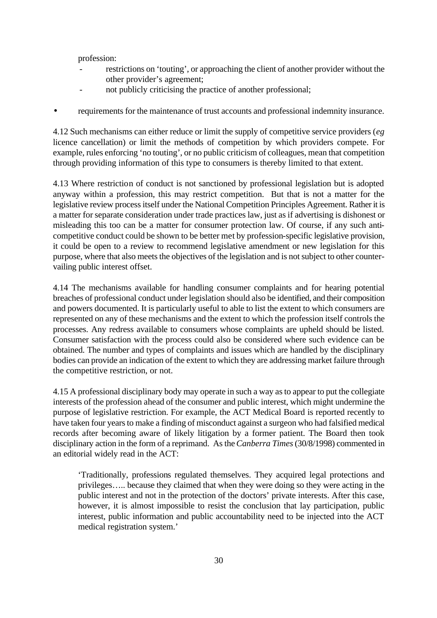profession:

- restrictions on 'touting', or approaching the client of another provider without the other provider's agreement;
- not publicly criticising the practice of another professional;
- requirements for the maintenance of trust accounts and professional indemnity insurance.

4.12 Such mechanisms can either reduce or limit the supply of competitive service providers (*eg*  licence cancellation) or limit the methods of competition by which providers compete. For example, rules enforcing 'no touting', or no public criticism of colleagues, mean that competition through providing information of this type to consumers is thereby limited to that extent.

4.13 Where restriction of conduct is not sanctioned by professional legislation but is adopted anyway within a profession, this may restrict competition. But that is not a matter for the legislative review process itself under the National Competition Principles Agreement. Rather it is a matter for separate consideration under trade practices law, just as if advertising is dishonest or misleading this too can be a matter for consumer protection law. Of course, if any such anticompetitive conduct could be shown to be better met by profession-specific legislative provision, it could be open to a review to recommend legislative amendment or new legislation for this purpose, where that also meets the objectives of the legislation and is not subject to other countervailing public interest offset.

4.14 The mechanisms available for handling consumer complaints and for hearing potential breaches of professional conduct under legislation should also be identified, and their composition and powers documented. It is particularly useful to able to list the extent to which consumers are represented on any of these mechanisms and the extent to which the profession itself controls the processes. Any redress available to consumers whose complaints are upheld should be listed. Consumer satisfaction with the process could also be considered where such evidence can be obtained. The number and types of complaints and issues which are handled by the disciplinary bodies can provide an indication of the extent to which they are addressing market failure through the competitive restriction, or not.

4.15 A professional disciplinary body may operate in such a way as to appear to put the collegiate interests of the profession ahead of the consumer and public interest, which might undermine the purpose of legislative restriction. For example, the ACT Medical Board is reported recently to have taken four years to make a finding of misconduct against a surgeon who had falsified medical records after becoming aware of likely litigation by a former patient. The Board then took disciplinary action in the form of a reprimand. As the *Canberra Times* (30/8/1998) commented in an editorial widely read in the ACT:

'Traditionally, professions regulated themselves. They acquired legal protections and privileges….. because they claimed that when they were doing so they were acting in the public interest and not in the protection of the doctors' private interests. After this case, however, it is almost impossible to resist the conclusion that lay participation, public interest, public information and public accountability need to be injected into the ACT medical registration system.'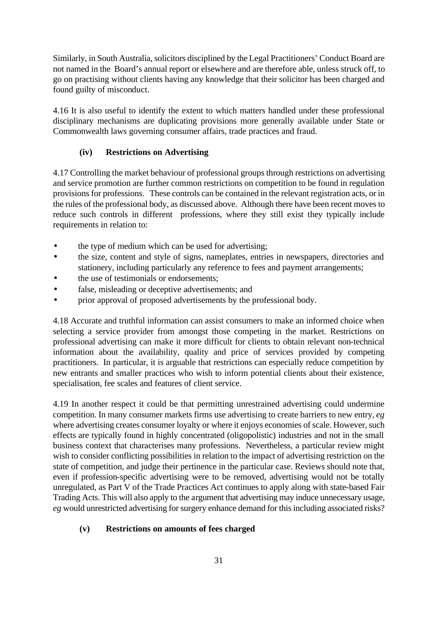Similarly, in South Australia, solicitors disciplined by the Legal Practitioners' Conduct Board are not named in the Board's annual report or elsewhere and are therefore able, unless struck off, to go on practising without clients having any knowledge that their solicitor has been charged and found guilty of misconduct.

4.16 It is also useful to identify the extent to which matters handled under these professional disciplinary mechanisms are duplicating provisions more generally available under State or Commonwealth laws governing consumer affairs, trade practices and fraud.

# **(iv) Restrictions on Advertising**

4.17 Controlling the market behaviour of professional groups through restrictions on advertising and service promotion are further common restrictions on competition to be found in regulation provisions for professions. These controls can be contained in the relevant registration acts, or in the rules of the professional body, as discussed above. Although there have been recent moves to reduce such controls in different professions, where they still exist they typically include requirements in relation to:

- the type of medium which can be used for advertising;
- the size, content and style of signs, nameplates, entries in newspapers, directories and stationery, including particularly any reference to fees and payment arrangements;
- the use of testimonials or endorsements:
- false, misleading or deceptive advertisements; and
- prior approval of proposed advertisements by the professional body.

4.18 Accurate and truthful information can assist consumers to make an informed choice when selecting a service provider from amongst those competing in the market. Restrictions on professional advertising can make it more difficult for clients to obtain relevant non-technical information about the availability, quality and price of services provided by competing practitioners. In particular, it is arguable that restrictions can especially reduce competition by new entrants and smaller practices who wish to inform potential clients about their existence, specialisation, fee scales and features of client service.

4.19 In another respect it could be that permitting unrestrained advertising could undermine competition. In many consumer markets firms use advertising to create barriers to new entry, *eg* where advertising creates consumer loyalty or where it enjoys economies of scale. However, such effects are typically found in highly concentrated (oligopolistic) industries and not in the small business context that characterises many professions. Nevertheless, a particular review might wish to consider conflicting possibilities in relation to the impact of advertising restriction on the state of competition, and judge their pertinence in the particular case. Reviews should note that, even if profession-specific advertising were to be removed, advertising would not be totally unregulated, as Part V of the Trade Practices Act continues to apply along with state-based Fair Trading Acts. This will also apply to the argument that advertising may induce unnecessary usage, *eg* would unrestricted advertising for surgery enhance demand for this including associated risks?

#### **(v) Restrictions on amounts of fees charged**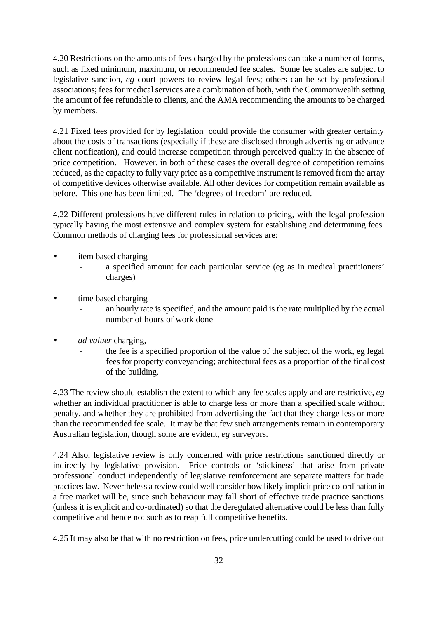4.20 Restrictions on the amounts of fees charged by the professions can take a number of forms, such as fixed minimum, maximum, or recommended fee scales. Some fee scales are subject to legislative sanction, *eg* court powers to review legal fees; others can be set by professional associations; fees for medical services are a combination of both, with the Commonwealth setting the amount of fee refundable to clients, and the AMA recommending the amounts to be charged by members.

4.21 Fixed fees provided for by legislation could provide the consumer with greater certainty about the costs of transactions (especially if these are disclosed through advertising or advance client notification), and could increase competition through perceived quality in the absence of price competition. However, in both of these cases the overall degree of competition remains reduced, as the capacity to fully vary price as a competitive instrument is removed from the array of competitive devices otherwise available. All other devices for competition remain available as before. This one has been limited. The 'degrees of freedom' are reduced.

4.22 Different professions have different rules in relation to pricing, with the legal profession typically having the most extensive and complex system for establishing and determining fees. Common methods of charging fees for professional services are:

- item based charging
	- a specified amount for each particular service (eg as in medical practitioners' charges)
- time based charging
	- an hourly rate is specified, and the amount paid is the rate multiplied by the actual number of hours of work done
- *ad valuer* charging,
	- the fee is a specified proportion of the value of the subject of the work, eg legal fees for property conveyancing; architectural fees as a proportion of the final cost of the building.

4.23 The review should establish the extent to which any fee scales apply and are restrictive, *eg* whether an individual practitioner is able to charge less or more than a specified scale without penalty, and whether they are prohibited from advertising the fact that they charge less or more than the recommended fee scale. It may be that few such arrangements remain in contemporary Australian legislation, though some are evident, *eg* surveyors.

4.24 Also, legislative review is only concerned with price restrictions sanctioned directly or indirectly by legislative provision. Price controls or 'stickiness' that arise from private professional conduct independently of legislative reinforcement are separate matters for trade practices law. Nevertheless a review could well consider how likely implicit price co-ordination in a free market will be, since such behaviour may fall short of effective trade practice sanctions (unless it is explicit and co-ordinated) so that the deregulated alternative could be less than fully competitive and hence not such as to reap full competitive benefits.

4.25 It may also be that with no restriction on fees, price undercutting could be used to drive out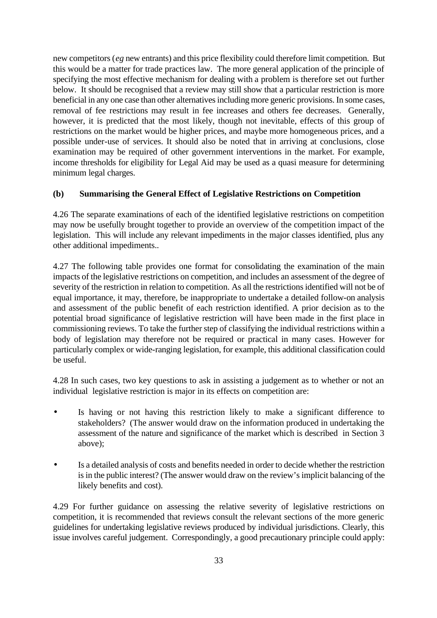new competitors (*eg* new entrants) and this price flexibility could therefore limit competition. But this would be a matter for trade practices law. The more general application of the principle of specifying the most effective mechanism for dealing with a problem is therefore set out further below. It should be recognised that a review may still show that a particular restriction is more beneficial in any one case than other alternatives including more generic provisions. In some cases, removal of fee restrictions may result in fee increases and others fee decreases. Generally, however, it is predicted that the most likely, though not inevitable, effects of this group of restrictions on the market would be higher prices, and maybe more homogeneous prices, and a possible under-use of services. It should also be noted that in arriving at conclusions, close examination may be required of other government interventions in the market. For example, income thresholds for eligibility for Legal Aid may be used as a quasi measure for determining minimum legal charges.

#### **(b) Summarising the General Effect of Legislative Restrictions on Competition**

4.26 The separate examinations of each of the identified legislative restrictions on competition may now be usefully brought together to provide an overview of the competition impact of the legislation. This will include any relevant impediments in the major classes identified, plus any other additional impediments..

4.27 The following table provides one format for consolidating the examination of the main impacts of the legislative restrictions on competition, and includes an assessment of the degree of severity of the restriction in relation to competition. As all the restrictions identified will not be of equal importance, it may, therefore, be inappropriate to undertake a detailed follow-on analysis and assessment of the public benefit of each restriction identified. A prior decision as to the potential broad significance of legislative restriction will have been made in the first place in commissioning reviews. To take the further step of classifying the individual restrictions within a body of legislation may therefore not be required or practical in many cases. However for particularly complex or wide-ranging legislation, for example, this additional classification could be useful.

4.28 In such cases, two key questions to ask in assisting a judgement as to whether or not an individual legislative restriction is major in its effects on competition are:

- Is having or not having this restriction likely to make a significant difference to stakeholders? (The answer would draw on the information produced in undertaking the assessment of the nature and significance of the market which is described in Section 3 above);
- Is a detailed analysis of costs and benefits needed in order to decide whether the restriction is in the public interest? (The answer would draw on the review's implicit balancing of the likely benefits and cost).

4.29 For further guidance on assessing the relative severity of legislative restrictions on competition, it is recommended that reviews consult the relevant sections of the more generic guidelines for undertaking legislative reviews produced by individual jurisdictions. Clearly, this issue involves careful judgement. Correspondingly, a good precautionary principle could apply: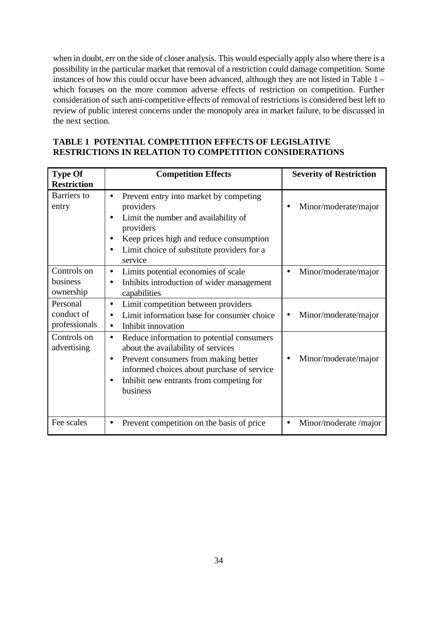when in doubt, err on the side of closer analysis. This would especially apply also where there is a possibility in the particular market that removal of a restriction could damage competition. Some instances of how this could occur have been advanced, although they are not listed in Table 1 – which focuses on the more common adverse effects of restriction on competition. Further consideration of such anti-competitive effects of removal of restrictions is considered best left to review of public interest concerns under the monopoly area in market failure, to be discussed in the next section.

| <b>TABLE 1 POTENTIAL COMPETITION EFFECTS OF LEGISLATIVE</b>   |
|---------------------------------------------------------------|
| <b>RESTRICTIONS IN RELATION TO COMPETITION CONSIDERATIONS</b> |

| <b>Type Of</b><br><b>Restriction</b>    | <b>Competition Effects</b>                                                                                                                                                                                                                                          | <b>Severity of Restriction</b>     |
|-----------------------------------------|---------------------------------------------------------------------------------------------------------------------------------------------------------------------------------------------------------------------------------------------------------------------|------------------------------------|
| <b>Barriers</b> to<br>entry             | Prevent entry into market by competing<br>$\bullet$<br>providers<br>Limit the number and availability of<br>providers<br>Keep prices high and reduce consumption<br>Limit choice of substitute providers for a<br>service                                           | Minor/moderate/major               |
| Controls on<br>business<br>ownership    | Limits potential economies of scale<br>$\bullet$<br>Inhibits introduction of wider management<br>$\bullet$<br>capabilities                                                                                                                                          | Minor/moderate/major<br>$\bullet$  |
| Personal<br>conduct of<br>professionals | Limit competition between providers<br>$\bullet$<br>Limit information base for consumer choice<br>$\bullet$<br>Inhibit innovation<br>$\bullet$                                                                                                                      | Minor/moderate/major               |
| Controls on<br>advertising              | Reduce information to potential consumers<br>$\bullet$<br>about the availability of services<br>Prevent consumers from making better<br>$\bullet$<br>informed choices about purchase of service<br>Inhibit new entrants from competing for<br>$\bullet$<br>business | Minor/moderate/major               |
| Fee scales                              | Prevent competition on the basis of price                                                                                                                                                                                                                           | Minor/moderate /major<br>$\bullet$ |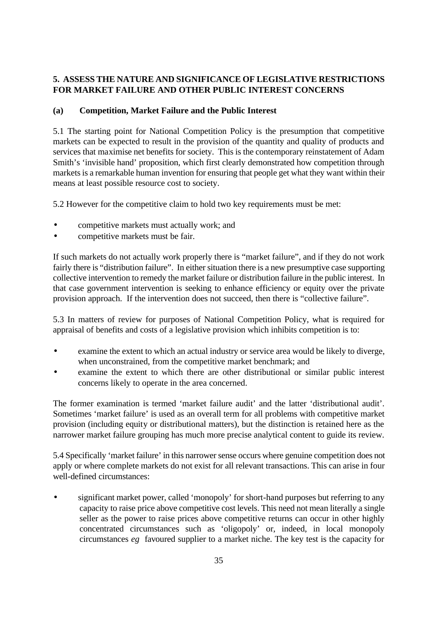## **5. ASSESS THE NATURE AND SIGNIFICANCE OF LEGISLATIVE RESTRICTIONS FOR MARKET FAILURE AND OTHER PUBLIC INTEREST CONCERNS**

## **(a) Competition, Market Failure and the Public Interest**

5.1 The starting point for National Competition Policy is the presumption that competitive markets can be expected to result in the provision of the quantity and quality of products and services that maximise net benefits for society. This is the contemporary reinstatement of Adam Smith's 'invisible hand' proposition, which first clearly demonstrated how competition through markets is a remarkable human invention for ensuring that people get what they want within their means at least possible resource cost to society.

5.2 However for the competitive claim to hold two key requirements must be met:

- competitive markets must actually work; and
- competitive markets must be fair.

If such markets do not actually work properly there is "market failure", and if they do not work fairly there is "distribution failure". In either situation there is a new presumptive case supporting collective intervention to remedy the market failure or distribution failure in the public interest. In that case government intervention is seeking to enhance efficiency or equity over the private provision approach. If the intervention does not succeed, then there is "collective failure".

5.3 In matters of review for purposes of National Competition Policy, what is required for appraisal of benefits and costs of a legislative provision which inhibits competition is to:

- examine the extent to which an actual industry or service area would be likely to diverge, when unconstrained, from the competitive market benchmark; and
- examine the extent to which there are other distributional or similar public interest concerns likely to operate in the area concerned.

The former examination is termed 'market failure audit' and the latter 'distributional audit'. Sometimes 'market failure' is used as an overall term for all problems with competitive market provision (including equity or distributional matters), but the distinction is retained here as the narrower market failure grouping has much more precise analytical content to guide its review.

5.4 Specifically 'market failure' in this narrower sense occurs where genuine competition does not apply or where complete markets do not exist for all relevant transactions. This can arise in four well-defined circumstances:

• significant market power, called 'monopoly' for short-hand purposes but referring to any capacity to raise price above competitive cost levels. This need not mean literally a single seller as the power to raise prices above competitive returns can occur in other highly concentrated circumstances such as 'oligopoly' or, indeed, in local monopoly circumstances *eg* favoured supplier to a market niche. The key test is the capacity for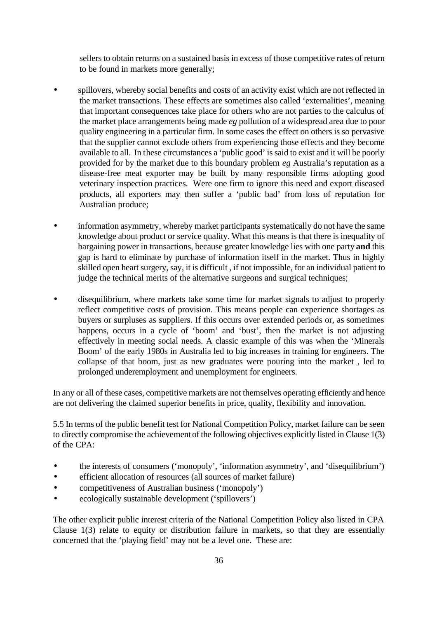sellers to obtain returns on a sustained basis in excess of those competitive rates of return to be found in markets more generally;

- spillovers, whereby social benefits and costs of an activity exist which are not reflected in the market transactions. These effects are sometimes also called 'externalities', meaning that important consequences take place for others who are not parties to the calculus of the market place arrangements being made *eg* pollution of a widespread area due to poor quality engineering in a particular firm. In some cases the effect on others is so pervasive that the supplier cannot exclude others from experiencing those effects and they become available to all. In these circumstances a 'public good' is said to exist and it will be poorly provided for by the market due to this boundary problem *eg* Australia's reputation as a disease-free meat exporter may be built by many responsible firms adopting good veterinary inspection practices. Were one firm to ignore this need and export diseased products, all exporters may then suffer a 'public bad' from loss of reputation for Australian produce;
- information asymmetry, whereby market participants systematically do not have the same knowledge about product or service quality. What this means is that there is inequality of bargaining power in transactions, because greater knowledge lies with one party **and** this gap is hard to eliminate by purchase of information itself in the market. Thus in highly skilled open heart surgery, say, it is difficult , if not impossible, for an individual patient to judge the technical merits of the alternative surgeons and surgical techniques;
- disequilibrium, where markets take some time for market signals to adjust to properly reflect competitive costs of provision. This means people can experience shortages as buyers or surpluses as suppliers. If this occurs over extended periods or, as sometimes happens, occurs in a cycle of 'boom' and 'bust', then the market is not adjusting effectively in meeting social needs. A classic example of this was when the 'Minerals Boom' of the early 1980s in Australia led to big increases in training for engineers. The collapse of that boom, just as new graduates were pouring into the market , led to prolonged underemployment and unemployment for engineers.

In any or all of these cases, competitive markets are not themselves operating efficiently and hence are not delivering the claimed superior benefits in price, quality, flexibility and innovation.

5.5 In terms of the public benefit test for National Competition Policy, market failure can be seen to directly compromise the achievement of the following objectives explicitly listed in Clause 1(3) of the CPA:

- the interests of consumers ('monopoly', 'information asymmetry', and 'disequilibrium')
- efficient allocation of resources (all sources of market failure)
- competitiveness of Australian business ('monopoly')
- ecologically sustainable development ('spillovers')

The other explicit public interest criteria of the National Competition Policy also listed in CPA Clause 1(3) relate to equity or distribution failure in markets, so that they are essentially concerned that the 'playing field' may not be a level one. These are: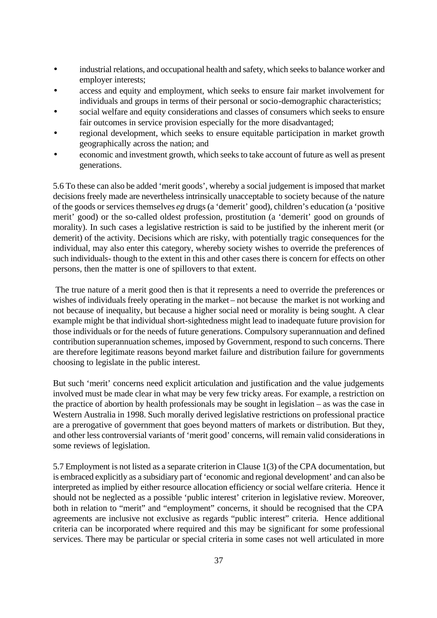- industrial relations, and occupational health and safety, which seeks to balance worker and employer interests;
- access and equity and employment, which seeks to ensure fair market involvement for individuals and groups in terms of their personal or socio-demographic characteristics;
- social welfare and equity considerations and classes of consumers which seeks to ensure fair outcomes in service provision especially for the more disadvantaged;
- regional development, which seeks to ensure equitable participation in market growth geographically across the nation; and
- economic and investment growth, which seeks to take account of future as well as present generations.

5.6 To these can also be added 'merit goods', whereby a social judgement is imposed that market decisions freely made are nevertheless intrinsically unacceptable to society because of the nature of the goods or services themselves *eg* drugs (a 'demerit' good), children's education (a 'positive merit' good) or the so-called oldest profession, prostitution (a 'demerit' good on grounds of morality). In such cases a legislative restriction is said to be justified by the inherent merit (or demerit) of the activity. Decisions which are risky, with potentially tragic consequences for the individual, may also enter this category, whereby society wishes to override the preferences of such individuals- though to the extent in this and other cases there is concern for effects on other persons, then the matter is one of spillovers to that extent.

 The true nature of a merit good then is that it represents a need to override the preferences or wishes of individuals freely operating in the market – not because the market is not working and not because of inequality, but because a higher social need or morality is being sought. A clear example might be that individual short-sightedness might lead to inadequate future provision for those individuals or for the needs of future generations. Compulsory superannuation and defined contribution superannuation schemes, imposed by Government, respond to such concerns. There are therefore legitimate reasons beyond market failure and distribution failure for governments choosing to legislate in the public interest.

But such 'merit' concerns need explicit articulation and justification and the value judgements involved must be made clear in what may be very few tricky areas. For example, a restriction on the practice of abortion by health professionals may be sought in legislation – as was the case in Western Australia in 1998. Such morally derived legislative restrictions on professional practice are a prerogative of government that goes beyond matters of markets or distribution. But they, and other less controversial variants of 'merit good' concerns, will remain valid considerations in some reviews of legislation.

5.7 Employment is not listed as a separate criterion in Clause 1(3) of the CPA documentation, but is embraced explicitly as a subsidiary part of 'economic and regional development' and can also be interpreted as implied by either resource allocation efficiency or social welfare criteria. Hence it should not be neglected as a possible 'public interest' criterion in legislative review. Moreover, both in relation to "merit" and "employment" concerns, it should be recognised that the CPA agreements are inclusive not exclusive as regards "public interest" criteria. Hence additional criteria can be incorporated where required and this may be significant for some professional services. There may be particular or special criteria in some cases not well articulated in more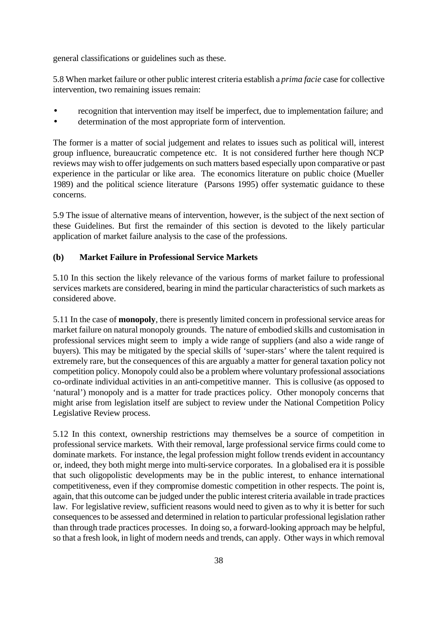general classifications or guidelines such as these.

5.8 When market failure or other public interest criteria establish a *prima facie* case for collective intervention, two remaining issues remain:

- recognition that intervention may itself be imperfect, due to implementation failure; and
- determination of the most appropriate form of intervention.

The former is a matter of social judgement and relates to issues such as political will, interest group influence, bureaucratic competence etc. It is not considered further here though NCP reviews may wish to offer judgements on such matters based especially upon comparative or past experience in the particular or like area. The economics literature on public choice (Mueller 1989) and the political science literature (Parsons 1995) offer systematic guidance to these concerns.

5.9 The issue of alternative means of intervention, however, is the subject of the next section of these Guidelines. But first the remainder of this section is devoted to the likely particular application of market failure analysis to the case of the professions.

## **(b) Market Failure in Professional Service Markets**

5.10 In this section the likely relevance of the various forms of market failure to professional services markets are considered, bearing in mind the particular characteristics of such markets as considered above.

5.11 In the case of **monopoly**, there is presently limited concern in professional service areas for market failure on natural monopoly grounds. The nature of embodied skills and customisation in professional services might seem to imply a wide range of suppliers (and also a wide range of buyers). This may be mitigated by the special skills of 'super-stars' where the talent required is extremely rare, but the consequences of this are arguably a matter for general taxation policy not competition policy. Monopoly could also be a problem where voluntary professional associations co-ordinate individual activities in an anti-competitive manner. This is collusive (as opposed to 'natural') monopoly and is a matter for trade practices policy. Other monopoly concerns that might arise from legislation itself are subject to review under the National Competition Policy Legislative Review process.

5.12 In this context, ownership restrictions may themselves be a source of competition in professional service markets. With their removal, large professional service firms could come to dominate markets. For instance, the legal profession might follow trends evident in accountancy or, indeed, they both might merge into multi-service corporates. In a globalised era it is possible that such oligopolistic developments may be in the public interest, to enhance international competitiveness, even if they compromise domestic competition in other respects. The point is, again, that this outcome can be judged under the public interest criteria available in trade practices law. For legislative review, sufficient reasons would need to given as to why it is better for such consequences to be assessed and determined in relation to particular professional legislation rather than through trade practices processes. In doing so, a forward-looking approach may be helpful, so that a fresh look, in light of modern needs and trends, can apply. Other ways in which removal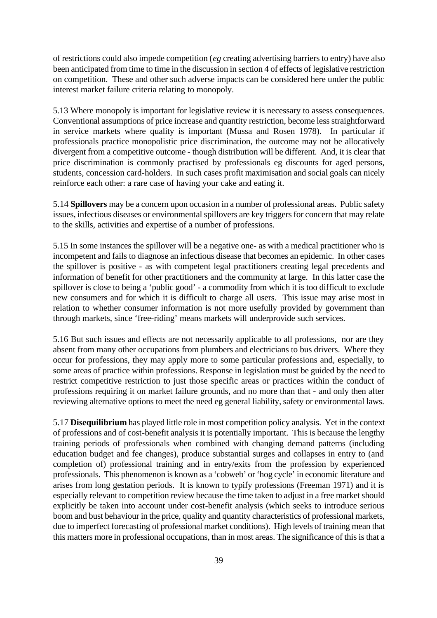of restrictions could also impede competition (*eg* creating advertising barriers to entry) have also been anticipated from time to time in the discussion in section 4 of effects of legislative restriction on competition. These and other such adverse impacts can be considered here under the public interest market failure criteria relating to monopoly.

5.13 Where monopoly is important for legislative review it is necessary to assess consequences. Conventional assumptions of price increase and quantity restriction, become less straightforward in service markets where quality is important (Mussa and Rosen 1978). In particular if professionals practice monopolistic price discrimination, the outcome may not be allocatively divergent from a competitive outcome - though distribution will be different. And, it is clear that price discrimination is commonly practised by professionals eg discounts for aged persons, students, concession card-holders. In such cases profit maximisation and social goals can nicely reinforce each other: a rare case of having your cake and eating it.

5.14 **Spillovers** may be a concern upon occasion in a number of professional areas. Public safety issues, infectious diseases or environmental spillovers are key triggers for concern that may relate to the skills, activities and expertise of a number of professions.

5.15 In some instances the spillover will be a negative one- as with a medical practitioner who is incompetent and fails to diagnose an infectious disease that becomes an epidemic. In other cases the spillover is positive - as with competent legal practitioners creating legal precedents and information of benefit for other practitioners and the community at large. In this latter case the spillover is close to being a 'public good' - a commodity from which it is too difficult to exclude new consumers and for which it is difficult to charge all users. This issue may arise most in relation to whether consumer information is not more usefully provided by government than through markets, since 'free-riding' means markets will underprovide such services.

5.16 But such issues and effects are not necessarily applicable to all professions, nor are they absent from many other occupations from plumbers and electricians to bus drivers. Where they occur for professions, they may apply more to some particular professions and, especially, to some areas of practice within professions. Response in legislation must be guided by the need to restrict competitive restriction to just those specific areas or practices within the conduct of professions requiring it on market failure grounds, and no more than that - and only then after reviewing alternative options to meet the need eg general liability, safety or environmental laws.

5.17 **Disequilibrium** has played little role in most competition policy analysis. Yet in the context of professions and of cost-benefit analysis it is potentially important. This is because the lengthy training periods of professionals when combined with changing demand patterns (including education budget and fee changes), produce substantial surges and collapses in entry to (and completion of) professional training and in entry/exits from the profession by experienced professionals. This phenomenon is known as a 'cobweb' or 'hog cycle' in economic literature and arises from long gestation periods. It is known to typify professions (Freeman 1971) and it is especially relevant to competition review because the time taken to adjust in a free market should explicitly be taken into account under cost-benefit analysis (which seeks to introduce serious boom and bust behaviour in the price, quality and quantity characteristics of professional markets, due to imperfect forecasting of professional market conditions). High levels of training mean that this matters more in professional occupations, than in most areas. The significance of this is that a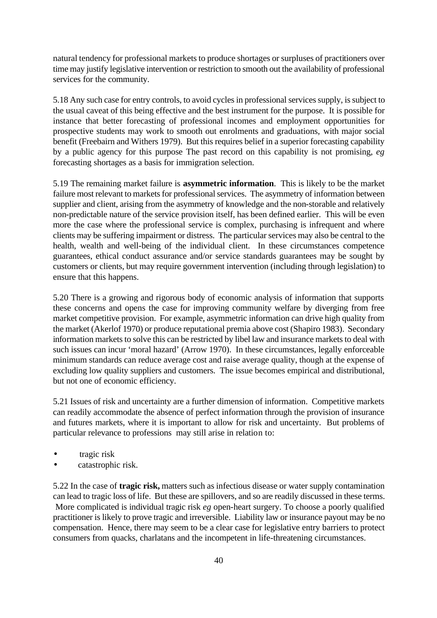natural tendency for professional markets to produce shortages or surpluses of practitioners over time may justify legislative intervention or restriction to smooth out the availability of professional services for the community.

5.18 Any such case for entry controls, to avoid cycles in professional services supply, is subject to the usual caveat of this being effective and the best instrument for the purpose. It is possible for instance that better forecasting of professional incomes and employment opportunities for prospective students may work to smooth out enrolments and graduations, with major social benefit (Freebairn and Withers 1979). But this requires belief in a superior forecasting capability by a public agency for this purpose The past record on this capability is not promising, *eg*  forecasting shortages as a basis for immigration selection.

5.19 The remaining market failure is **asymmetric information**. This is likely to be the market failure most relevant to markets for professional services. The asymmetry of information between supplier and client, arising from the asymmetry of knowledge and the non-storable and relatively non-predictable nature of the service provision itself, has been defined earlier. This will be even more the case where the professional service is complex, purchasing is infrequent and where clients may be suffering impairment or distress. The particular services may also be central to the health, wealth and well-being of the individual client. In these circumstances competence guarantees, ethical conduct assurance and/or service standards guarantees may be sought by customers or clients, but may require government intervention (including through legislation) to ensure that this happens.

5.20 There is a growing and rigorous body of economic analysis of information that supports these concerns and opens the case for improving community welfare by diverging from free market competitive provision. For example, asymmetric information can drive high quality from the market (Akerlof 1970) or produce reputational premia above cost (Shapiro 1983). Secondary information markets to solve this can be restricted by libel law and insurance markets to deal with such issues can incur 'moral hazard' (Arrow 1970). In these circumstances, legally enforceable minimum standards can reduce average cost and raise average quality, though at the expense of excluding low quality suppliers and customers. The issue becomes empirical and distributional, but not one of economic efficiency.

5.21 Issues of risk and uncertainty are a further dimension of information. Competitive markets can readily accommodate the absence of perfect information through the provision of insurance and futures markets, where it is important to allow for risk and uncertainty. But problems of particular relevance to professions may still arise in relation to:

- tragic risk
- catastrophic risk.

5.22 In the case of **tragic risk,** matters such as infectious disease or water supply contamination can lead to tragic loss of life. But these are spillovers, and so are readily discussed in these terms. More complicated is individual tragic risk *eg* open-heart surgery. To choose a poorly qualified practitioner is likely to prove tragic and irreversible. Liability law or insurance payout may be no compensation. Hence, there may seem to be a clear case for legislative entry barriers to protect consumers from quacks, charlatans and the incompetent in life-threatening circumstances.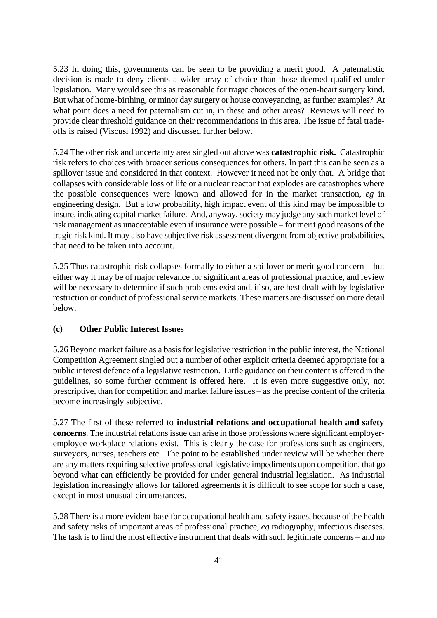5.23 In doing this, governments can be seen to be providing a merit good. A paternalistic decision is made to deny clients a wider array of choice than those deemed qualified under legislation. Many would see this as reasonable for tragic choices of the open-heart surgery kind. But what of home-birthing, or minor day surgery or house conveyancing, as further examples? At what point does a need for paternalism cut in, in these and other areas? Reviews will need to provide clear threshold guidance on their recommendations in this area. The issue of fatal tradeoffs is raised (Viscusi 1992) and discussed further below.

5.24 The other risk and uncertainty area singled out above was **catastrophic risk.** Catastrophic risk refers to choices with broader serious consequences for others. In part this can be seen as a spillover issue and considered in that context. However it need not be only that. A bridge that collapses with considerable loss of life or a nuclear reactor that explodes are catastrophes where the possible consequences were known and allowed for in the market transaction, *eg* in engineering design. But a low probability, high impact event of this kind may be impossible to insure, indicating capital market failure. And, anyway, society may judge any such market level of risk management as unacceptable even if insurance were possible – for merit good reasons of the tragic risk kind. It may also have subjective risk assessment divergent from objective probabilities, that need to be taken into account.

5.25 Thus catastrophic risk collapses formally to either a spillover or merit good concern – but either way it may be of major relevance for significant areas of professional practice, and review will be necessary to determine if such problems exist and, if so, are best dealt with by legislative restriction or conduct of professional service markets. These matters are discussed on more detail below.

### **(c) Other Public Interest Issues**

5.26 Beyond market failure as a basis for legislative restriction in the public interest, the National Competition Agreement singled out a number of other explicit criteria deemed appropriate for a public interest defence of a legislative restriction. Little guidance on their content is offered in the guidelines, so some further comment is offered here. It is even more suggestive only, not prescriptive, than for competition and market failure issues – as the precise content of the criteria become increasingly subjective.

5.27 The first of these referred to **industrial relations and occupational health and safety concerns**. The industrial relations issue can arise in those professions where significant employeremployee workplace relations exist. This is clearly the case for professions such as engineers, surveyors, nurses, teachers etc. The point to be established under review will be whether there are any matters requiring selective professional legislative impediments upon competition, that go beyond what can efficiently be provided for under general industrial legislation. As industrial legislation increasingly allows for tailored agreements it is difficult to see scope for such a case, except in most unusual circumstances.

5.28 There is a more evident base for occupational health and safety issues, because of the health and safety risks of important areas of professional practice, *eg* radiography, infectious diseases. The task is to find the most effective instrument that deals with such legitimate concerns – and no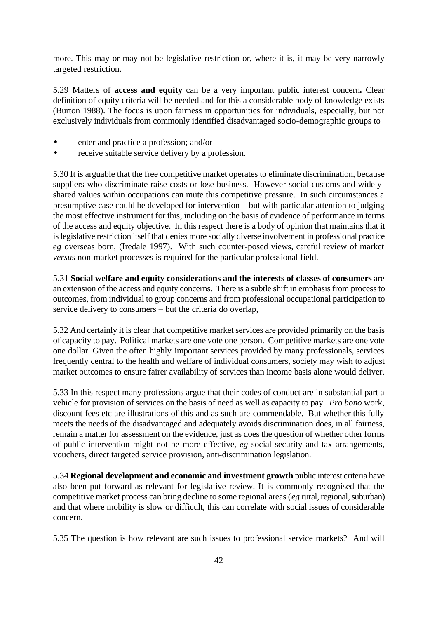more. This may or may not be legislative restriction or, where it is, it may be very narrowly targeted restriction.

5.29 Matters of **access and equity** can be a very important public interest concern**.** Clear definition of equity criteria will be needed and for this a considerable body of knowledge exists (Burton 1988). The focus is upon fairness in opportunities for individuals, especially, but not exclusively individuals from commonly identified disadvantaged socio-demographic groups to

- enter and practice a profession; and/or
- receive suitable service delivery by a profession.

5.30 It is arguable that the free competitive market operates to eliminate discrimination, because suppliers who discriminate raise costs or lose business. However social customs and widelyshared values within occupations can mute this competitive pressure. In such circumstances a presumptive case could be developed for intervention – but with particular attention to judging the most effective instrument for this, including on the basis of evidence of performance in terms of the access and equity objective. In this respect there is a body of opinion that maintains that it is legislative restriction itself that denies more socially diverse involvement in professional practice *eg* overseas born, (Iredale 1997). With such counter-posed views, careful review of market *versus* non-market processes is required for the particular professional field.

5.31 **Social welfare and equity considerations and the interests of classes of consumers** are an extension of the access and equity concerns. There is a subtle shift in emphasis from process to outcomes, from individual to group concerns and from professional occupational participation to service delivery to consumers – but the criteria do overlap,

5.32 And certainly it is clear that competitive market services are provided primarily on the basis of capacity to pay. Political markets are one vote one person. Competitive markets are one vote one dollar. Given the often highly important services provided by many professionals, services frequently central to the health and welfare of individual consumers, society may wish to adjust market outcomes to ensure fairer availability of services than income basis alone would deliver.

5.33 In this respect many professions argue that their codes of conduct are in substantial part a vehicle for provision of services on the basis of need as well as capacity to pay. *Pro bono* work, discount fees etc are illustrations of this and as such are commendable. But whether this fully meets the needs of the disadvantaged and adequately avoids discrimination does, in all fairness, remain a matter for assessment on the evidence, just as does the question of whether other forms of public intervention might not be more effective, *eg* social security and tax arrangements, vouchers, direct targeted service provision, anti-discrimination legislation.

5.34 **Regional development and economic and investment growth** public interest criteria have also been put forward as relevant for legislative review. It is commonly recognised that the competitive market process can bring decline to some regional areas (*eg* rural, regional, suburban) and that where mobility is slow or difficult, this can correlate with social issues of considerable concern.

5.35 The question is how relevant are such issues to professional service markets? And will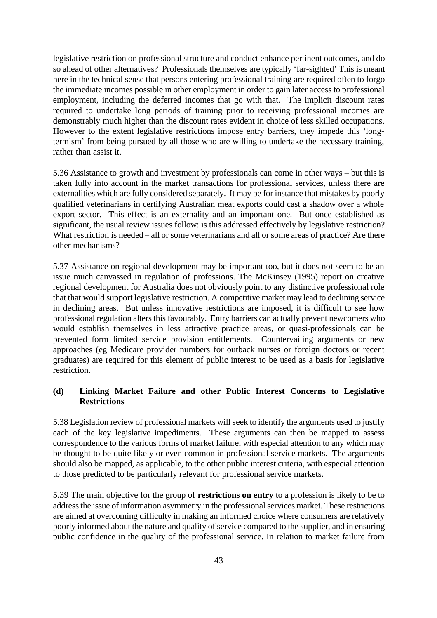legislative restriction on professional structure and conduct enhance pertinent outcomes, and do so ahead of other alternatives? Professionals themselves are typically 'far-sighted' This is meant here in the technical sense that persons entering professional training are required often to forgo the immediate incomes possible in other employment in order to gain later access to professional employment, including the deferred incomes that go with that. The implicit discount rates required to undertake long periods of training prior to receiving professional incomes are demonstrably much higher than the discount rates evident in choice of less skilled occupations. However to the extent legislative restrictions impose entry barriers, they impede this 'longtermism' from being pursued by all those who are willing to undertake the necessary training, rather than assist it.

5.36 Assistance to growth and investment by professionals can come in other ways – but this is taken fully into account in the market transactions for professional services, unless there are externalities which are fully considered separately. It may be for instance that mistakes by poorly qualified veterinarians in certifying Australian meat exports could cast a shadow over a whole export sector. This effect is an externality and an important one. But once established as significant, the usual review issues follow: is this addressed effectively by legislative restriction? What restriction is needed – all or some veterinarians and all or some areas of practice? Are there other mechanisms?

5.37 Assistance on regional development may be important too, but it does not seem to be an issue much canvassed in regulation of professions. The McKinsey (1995) report on creative regional development for Australia does not obviously point to any distinctive professional role that that would support legislative restriction. A competitive market may lead to declining service in declining areas. But unless innovative restrictions are imposed, it is difficult to see how professional regulation alters this favourably. Entry barriers can actually prevent newcomers who would establish themselves in less attractive practice areas, or quasi-professionals can be prevented form limited service provision entitlements. Countervailing arguments or new approaches (eg Medicare provider numbers for outback nurses or foreign doctors or recent graduates) are required for this element of public interest to be used as a basis for legislative restriction.

### **(d) Linking Market Failure and other Public Interest Concerns to Legislative Restrictions**

5.38 Legislation review of professional markets will seek to identify the arguments used to justify each of the key legislative impediments. These arguments can then be mapped to assess correspondence to the various forms of market failure, with especial attention to any which may be thought to be quite likely or even common in professional service markets. The arguments should also be mapped, as applicable, to the other public interest criteria, with especial attention to those predicted to be particularly relevant for professional service markets.

5.39 The main objective for the group of **restrictions on entry** to a profession is likely to be to address the issue of information asymmetry in the professional services market. These restrictions are aimed at overcoming difficulty in making an informed choice where consumers are relatively poorly informed about the nature and quality of service compared to the supplier, and in ensuring public confidence in the quality of the professional service. In relation to market failure from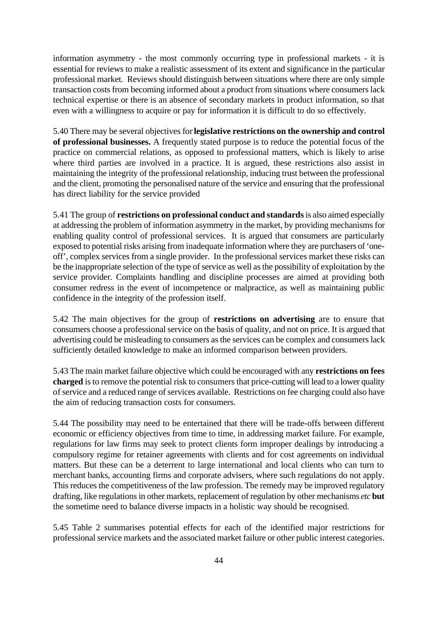information asymmetry - the most commonly occurring type in professional markets - it is essential for reviews to make a realistic assessment of its extent and significance in the particular professional market. Reviews should distinguish between situations where there are only simple transaction costs from becoming informed about a product from situations where consumers lack technical expertise or there is an absence of secondary markets in product information, so that even with a willingness to acquire or pay for information it is difficult to do so effectively.

5.40 There may be several objectives for **legislative restrictions on the ownership and control of professional businesses.** A frequently stated purpose is to reduce the potential focus of the practice on commercial relations, as opposed to professional matters, which is likely to arise where third parties are involved in a practice. It is argued, these restrictions also assist in maintaining the integrity of the professional relationship, inducing trust between the professional and the client, promoting the personalised nature of the service and ensuring that the professional has direct liability for the service provided

5.41 The group of **restrictions on professional conduct and standards** is also aimed especially at addressing the problem of information asymmetry in the market, by providing mechanisms for enabling quality control of professional services. It is argued that consumers are particularly exposed to potential risks arising from inadequate information where they are purchasers of 'oneoff', complex services from a single provider. In the professional services market these risks can be the inappropriate selection of the type of service as well as the possibility of exploitation by the service provider. Complaints handling and discipline processes are aimed at providing both consumer redress in the event of incompetence or malpractice, as well as maintaining public confidence in the integrity of the profession itself.

5.42 The main objectives for the group of **restrictions on advertising** are to ensure that consumers choose a professional service on the basis of quality, and not on price. It is argued that advertising could be misleading to consumers as the services can be complex and consumers lack sufficiently detailed knowledge to make an informed comparison between providers.

5.43 The main market failure objective which could be encouraged with any **restrictions on fees charged** is to remove the potential risk to consumers that price-cutting will lead to a lower quality of service and a reduced range of services available. Restrictions on fee charging could also have the aim of reducing transaction costs for consumers.

5.44 The possibility may need to be entertained that there will be trade-offs between different economic or efficiency objectives from time to time, in addressing market failure. For example, regulations for law firms may seek to protect clients form improper dealings by introducing a compulsory regime for retainer agreements with clients and for cost agreements on individual matters. But these can be a deterrent to large international and local clients who can turn to merchant banks, accounting firms and corporate advisers, where such regulations do not apply. This reduces the competitiveness of the law profession. The remedy may be improved regulatory drafting, like regulations in other markets, replacement of regulation by other mechanisms *etc* **but** the sometime need to balance diverse impacts in a holistic way should be recognised.

5.45 Table 2 summarises potential effects for each of the identified major restrictions for professional service markets and the associated market failure or other public interest categories.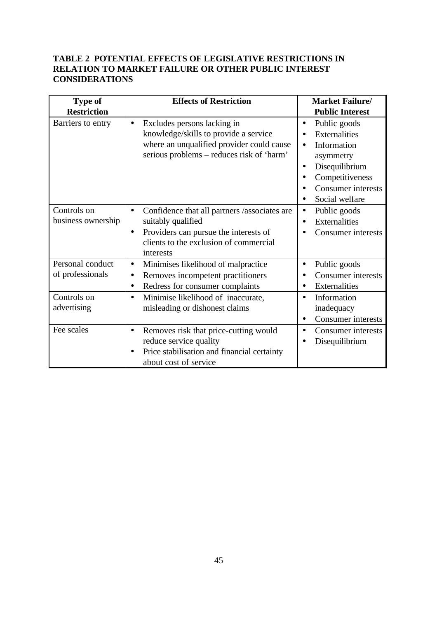## **TABLE 2 POTENTIAL EFFECTS OF LEGISLATIVE RESTRICTIONS IN RELATION TO MARKET FAILURE OR OTHER PUBLIC INTEREST CONSIDERATIONS**

| <b>Type of</b>                                      | <b>Effects of Restriction</b>                                                                                                                                                                         | <b>Market Failure/</b>                                                                                                                                                                                              |
|-----------------------------------------------------|-------------------------------------------------------------------------------------------------------------------------------------------------------------------------------------------------------|---------------------------------------------------------------------------------------------------------------------------------------------------------------------------------------------------------------------|
| <b>Restriction</b>                                  |                                                                                                                                                                                                       | <b>Public Interest</b>                                                                                                                                                                                              |
| Barriers to entry                                   | Excludes persons lacking in<br>$\bullet$<br>knowledge/skills to provide a service<br>where an unqualified provider could cause<br>serious problems – reduces risk of 'harm'                           | Public goods<br>$\bullet$<br>Externalities<br>$\bullet$<br>Information<br>$\bullet$<br>asymmetry<br>Disequilibrium<br>٠<br>Competitiveness<br>$\bullet$<br><b>Consumer</b> interests<br>$\bullet$<br>Social welfare |
| Controls on<br>business ownership                   | Confidence that all partners /associates are<br>$\bullet$<br>suitably qualified<br>Providers can pursue the interests of<br>$\bullet$<br>clients to the exclusion of commercial<br>interests          | Public goods<br>$\bullet$<br>Externalities<br>$\bullet$<br><b>Consumer</b> interests                                                                                                                                |
| Personal conduct<br>of professionals<br>Controls on | Minimises likelihood of malpractice<br>$\bullet$<br>Removes incompetent practitioners<br>$\bullet$<br>Redress for consumer complaints<br>$\bullet$<br>Minimise likelihood of inaccurate,<br>$\bullet$ | Public goods<br>$\bullet$<br><b>Consumer</b> interests<br>$\bullet$<br>Externalities<br>$\bullet$<br>Information<br>$\bullet$                                                                                       |
| advertising                                         | misleading or dishonest claims                                                                                                                                                                        | inadequacy<br><b>Consumer</b> interests<br>٠                                                                                                                                                                        |
| Fee scales                                          | Removes risk that price-cutting would<br>$\bullet$<br>reduce service quality<br>Price stabilisation and financial certainty<br>about cost of service                                                  | <b>Consumer</b> interests<br>$\bullet$<br>Disequilibrium                                                                                                                                                            |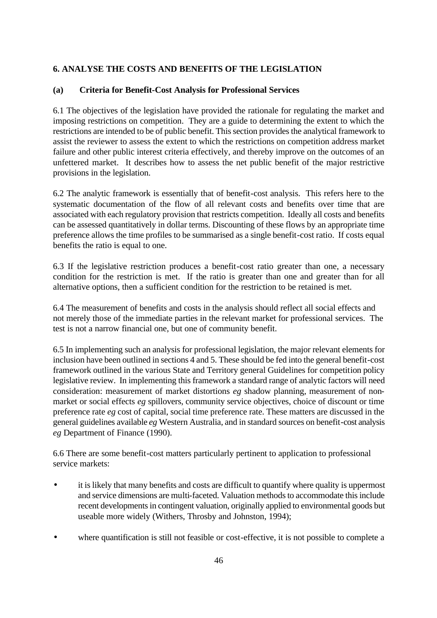## **6. ANALYSE THE COSTS AND BENEFITS OF THE LEGISLATION**

### **(a) Criteria for Benefit-Cost Analysis for Professional Services**

6.1 The objectives of the legislation have provided the rationale for regulating the market and imposing restrictions on competition. They are a guide to determining the extent to which the restrictions are intended to be of public benefit. This section provides the analytical framework to assist the reviewer to assess the extent to which the restrictions on competition address market failure and other public interest criteria effectively, and thereby improve on the outcomes of an unfettered market. It describes how to assess the net public benefit of the major restrictive provisions in the legislation.

6.2 The analytic framework is essentially that of benefit-cost analysis. This refers here to the systematic documentation of the flow of all relevant costs and benefits over time that are associated with each regulatory provision that restricts competition. Ideally all costs and benefits can be assessed quantitatively in dollar terms. Discounting of these flows by an appropriate time preference allows the time profiles to be summarised as a single benefit-cost ratio. If costs equal benefits the ratio is equal to one.

6.3 If the legislative restriction produces a benefit-cost ratio greater than one, a necessary condition for the restriction is met. If the ratio is greater than one and greater than for all alternative options, then a sufficient condition for the restriction to be retained is met.

6.4 The measurement of benefits and costs in the analysis should reflect all social effects and not merely those of the immediate parties in the relevant market for professional services. The test is not a narrow financial one, but one of community benefit.

6.5 In implementing such an analysis for professional legislation, the major relevant elements for inclusion have been outlined in sections 4 and 5. These should be fed into the general benefit-cost framework outlined in the various State and Territory general Guidelines for competition policy legislative review. In implementing this framework a standard range of analytic factors will need consideration: measurement of market distortions *eg* shadow planning, measurement of nonmarket or social effects *eg* spillovers, community service objectives, choice of discount or time preference rate *eg* cost of capital, social time preference rate. These matters are discussed in the general guidelines available *eg* Western Australia, and in standard sources on benefit-cost analysis *eg* Department of Finance (1990).

6.6 There are some benefit-cost matters particularly pertinent to application to professional service markets:

- it is likely that many benefits and costs are difficult to quantify where quality is uppermost and service dimensions are multi-faceted. Valuation methods to accommodate this include recent developments in contingent valuation, originally applied to environmental goods but useable more widely (Withers, Throsby and Johnston, 1994);
- where quantification is still not feasible or cost-effective, it is not possible to complete a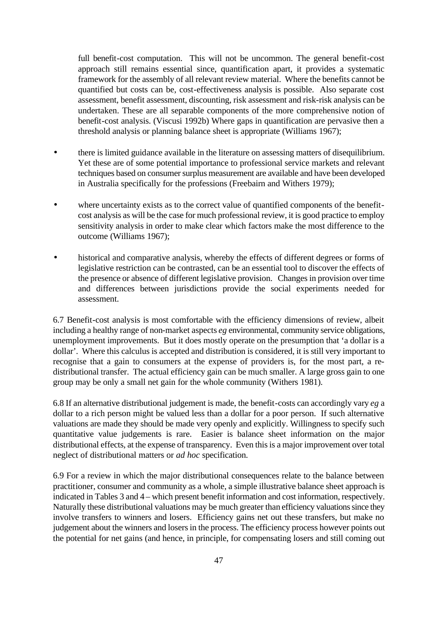full benefit-cost computation. This will not be uncommon. The general benefit-cost approach still remains essential since, quantification apart, it provides a systematic framework for the assembly of all relevant review material. Where the benefits cannot be quantified but costs can be, cost-effectiveness analysis is possible. Also separate cost assessment, benefit assessment, discounting, risk assessment and risk-risk analysis can be undertaken. These are all separable components of the more comprehensive notion of benefit-cost analysis. (Viscusi 1992b) Where gaps in quantification are pervasive then a threshold analysis or planning balance sheet is appropriate (Williams 1967);

- there is limited guidance available in the literature on assessing matters of disequilibrium. Yet these are of some potential importance to professional service markets and relevant techniques based on consumer surplus measurement are available and have been developed in Australia specifically for the professions (Freebairn and Withers 1979);
- where uncertainty exists as to the correct value of quantified components of the benefitcost analysis as will be the case for much professional review, it is good practice to employ sensitivity analysis in order to make clear which factors make the most difference to the outcome (Williams 1967);
- historical and comparative analysis, whereby the effects of different degrees or forms of legislative restriction can be contrasted, can be an essential tool to discover the effects of the presence or absence of different legislative provision. Changes in provision over time and differences between jurisdictions provide the social experiments needed for assessment.

6.7 Benefit-cost analysis is most comfortable with the efficiency dimensions of review, albeit including a healthy range of non-market aspects *eg* environmental, community service obligations, unemployment improvements. But it does mostly operate on the presumption that 'a dollar is a dollar'. Where this calculus is accepted and distribution is considered, it is still very important to recognise that a gain to consumers at the expense of providers is, for the most part, a redistributional transfer. The actual efficiency gain can be much smaller. A large gross gain to one group may be only a small net gain for the whole community (Withers 1981).

6.8 If an alternative distributional judgement is made, the benefit-costs can accordingly vary *eg* a dollar to a rich person might be valued less than a dollar for a poor person. If such alternative valuations are made they should be made very openly and explicitly. Willingness to specify such quantitative value judgements is rare. Easier is balance sheet information on the major distributional effects, at the expense of transparency. Even this is a major improvement over total neglect of distributional matters or *ad hoc* specification.

6.9 For a review in which the major distributional consequences relate to the balance between practitioner, consumer and community as a whole, a simple illustrative balance sheet approach is indicated in Tables 3 and 4 – which present benefit information and cost information, respectively. Naturally these distributional valuations may be much greater than efficiency valuations since they involve transfers to winners and losers. Efficiency gains net out these transfers, but make no judgement about the winners and losers in the process. The efficiency process however points out the potential for net gains (and hence, in principle, for compensating losers and still coming out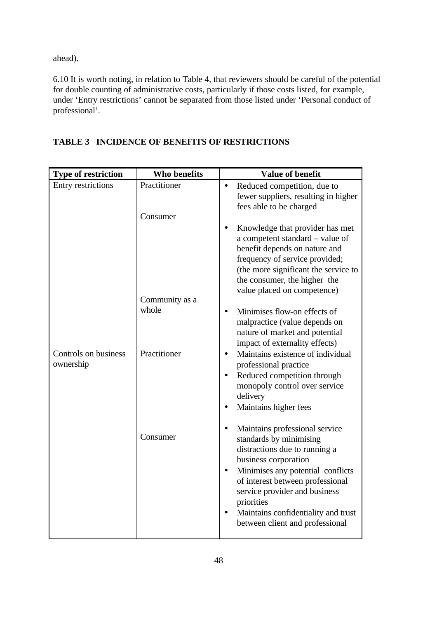ahead).

6.10 It is worth noting, in relation to Table 4, that reviewers should be careful of the potential for double counting of administrative costs, particularly if those costs listed, for example, under 'Entry restrictions' cannot be separated from those listed under 'Personal conduct of professional'.

| <b>Type of restriction</b>        | Who benefits            | <b>Value of benefit</b>                                                                                                                                                                                                                                                                                                           |
|-----------------------------------|-------------------------|-----------------------------------------------------------------------------------------------------------------------------------------------------------------------------------------------------------------------------------------------------------------------------------------------------------------------------------|
| Entry restrictions                | Practitioner            | Reduced competition, due to<br>$\bullet$<br>fewer suppliers, resulting in higher<br>fees able to be charged                                                                                                                                                                                                                       |
|                                   | Consumer                | Knowledge that provider has met<br>a competent standard – value of<br>benefit depends on nature and<br>frequency of service provided;<br>(the more significant the service to<br>the consumer, the higher the<br>value placed on competence)                                                                                      |
|                                   | Community as a<br>whole | Minimises flow-on effects of<br>malpractice (value depends on<br>nature of market and potential<br>impact of externality effects)                                                                                                                                                                                                 |
| Controls on business<br>ownership | Practitioner            | Maintains existence of individual<br>$\bullet$<br>professional practice<br>Reduced competition through<br>$\bullet$<br>monopoly control over service<br>delivery<br>Maintains higher fees                                                                                                                                         |
|                                   | Consumer                | Maintains professional service<br>$\bullet$<br>standards by minimising<br>distractions due to running a<br>business corporation<br>Minimises any potential conflicts<br>of interest between professional<br>service provider and business<br>priorities<br>Maintains confidentiality and trust<br>between client and professional |

# **TABLE 3 INCIDENCE OF BENEFITS OF RESTRICTIONS**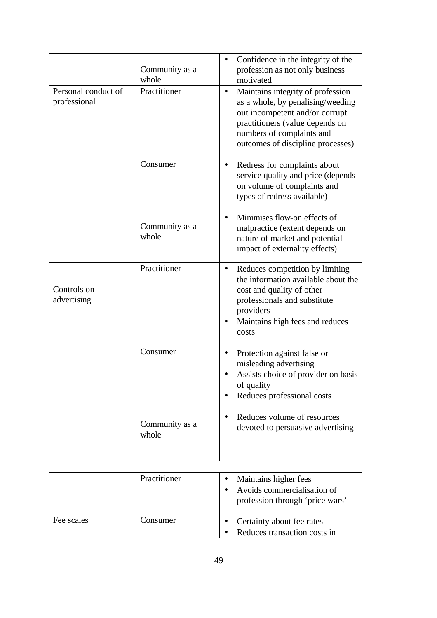|                                     | Community as a<br>whole | Confidence in the integrity of the<br>$\bullet$<br>profession as not only business<br>motivated                                                                                                                            |
|-------------------------------------|-------------------------|----------------------------------------------------------------------------------------------------------------------------------------------------------------------------------------------------------------------------|
| Personal conduct of<br>professional | Practitioner            | Maintains integrity of profession<br>$\bullet$<br>as a whole, by penalising/weeding<br>out incompetent and/or corrupt<br>practitioners (value depends on<br>numbers of complaints and<br>outcomes of discipline processes) |
|                                     | Consumer                | Redress for complaints about<br>$\bullet$<br>service quality and price (depends<br>on volume of complaints and<br>types of redress available)                                                                              |
|                                     | Community as a<br>whole | Minimises flow-on effects of<br>$\bullet$<br>malpractice (extent depends on<br>nature of market and potential<br>impact of externality effects)                                                                            |
| Controls on<br>advertising          | Practitioner            | Reduces competition by limiting<br>$\bullet$<br>the information available about the<br>cost and quality of other<br>professionals and substitute<br>providers<br>Maintains high fees and reduces<br>$\bullet$<br>costs     |
|                                     | Consumer                | Protection against false or<br>$\bullet$<br>misleading advertising<br>Assists choice of provider on basis<br>of quality<br>Reduces professional costs<br>$\bullet$                                                         |
|                                     | Community as a<br>whole | Reduces volume of resources<br>devoted to persuasive advertising                                                                                                                                                           |

|            | Practitioner | Maintains higher fees<br>Avoids commercialisation of<br>profession through 'price wars' |
|------------|--------------|-----------------------------------------------------------------------------------------|
| Fee scales | .`onsumer    | Certainty about fee rates<br>Reduces transaction costs in                               |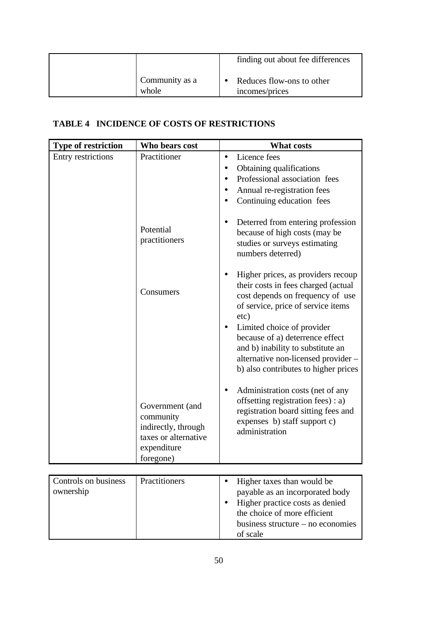|                         | finding out about fee differences           |
|-------------------------|---------------------------------------------|
| Community as a<br>whole | Reduces flow-ons to other<br>incomes/prices |

# **TABLE 4 INCIDENCE OF COSTS OF RESTRICTIONS**

| <b>Type of restriction</b> | Who bears cost                                                                                          | <b>What costs</b>                                                                                                                                                                                                                                                                                                                                                          |
|----------------------------|---------------------------------------------------------------------------------------------------------|----------------------------------------------------------------------------------------------------------------------------------------------------------------------------------------------------------------------------------------------------------------------------------------------------------------------------------------------------------------------------|
| Entry restrictions         | Practitioner                                                                                            | Licence fees<br>$\bullet$<br>Obtaining qualifications<br>$\bullet$<br>Professional association fees<br>$\bullet$<br>Annual re-registration fees<br>$\bullet$<br>Continuing education fees                                                                                                                                                                                  |
|                            | Potential<br>practitioners                                                                              | Deterred from entering profession<br>$\bullet$<br>because of high costs (may be<br>studies or surveys estimating<br>numbers deterred)                                                                                                                                                                                                                                      |
|                            | Consumers                                                                                               | Higher prices, as providers recoup<br>$\bullet$<br>their costs in fees charged (actual<br>cost depends on frequency of use<br>of service, price of service items<br>etc)<br>Limited choice of provider<br>$\bullet$<br>because of a) deterrence effect<br>and b) inability to substitute an<br>alternative non-licensed provider -<br>b) also contributes to higher prices |
|                            | Government (and<br>community<br>indirectly, through<br>taxes or alternative<br>expenditure<br>foregone) | Administration costs (net of any<br>offsetting registration fees) : a)<br>registration board sitting fees and<br>expenses b) staff support c)<br>administration                                                                                                                                                                                                            |

| Controls on business<br>ownership | Practitioners |  | Higher taxes than would be<br>payable as an incorporated body<br>Higher practice costs as denied<br>the choice of more efficient<br>business structure $-$ no economies<br>of scale |
|-----------------------------------|---------------|--|-------------------------------------------------------------------------------------------------------------------------------------------------------------------------------------|
|-----------------------------------|---------------|--|-------------------------------------------------------------------------------------------------------------------------------------------------------------------------------------|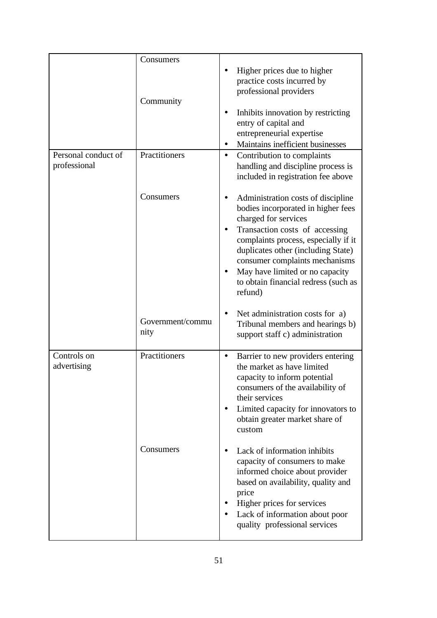|                                     | Consumers                |                                                                                                                                                                                                                                                                                                                                          |
|-------------------------------------|--------------------------|------------------------------------------------------------------------------------------------------------------------------------------------------------------------------------------------------------------------------------------------------------------------------------------------------------------------------------------|
|                                     | Community                | Higher prices due to higher<br>practice costs incurred by<br>professional providers                                                                                                                                                                                                                                                      |
|                                     |                          | Inhibits innovation by restricting<br>entry of capital and<br>entrepreneurial expertise<br>Maintains inefficient businesses                                                                                                                                                                                                              |
| Personal conduct of<br>professional | Practitioners            | Contribution to complaints<br>$\bullet$<br>handling and discipline process is<br>included in registration fee above                                                                                                                                                                                                                      |
|                                     | Consumers                | Administration costs of discipline<br>bodies incorporated in higher fees<br>charged for services<br>Transaction costs of accessing<br>complaints process, especially if it<br>duplicates other (including State)<br>consumer complaints mechanisms<br>May have limited or no capacity<br>to obtain financial redress (such as<br>refund) |
|                                     | Government/commu<br>nity | Net administration costs for a)<br>Tribunal members and hearings b)<br>support staff c) administration                                                                                                                                                                                                                                   |
| Controls on<br>advertising          | Practitioners            | Barrier to new providers entering<br>٠<br>the market as have limited<br>capacity to inform potential<br>consumers of the availability of<br>their services<br>Limited capacity for innovators to<br>obtain greater market share of<br>custom                                                                                             |
|                                     | Consumers                | Lack of information inhibits<br>capacity of consumers to make<br>informed choice about provider<br>based on availability, quality and<br>price<br>Higher prices for services<br>Lack of information about poor<br>quality professional services                                                                                          |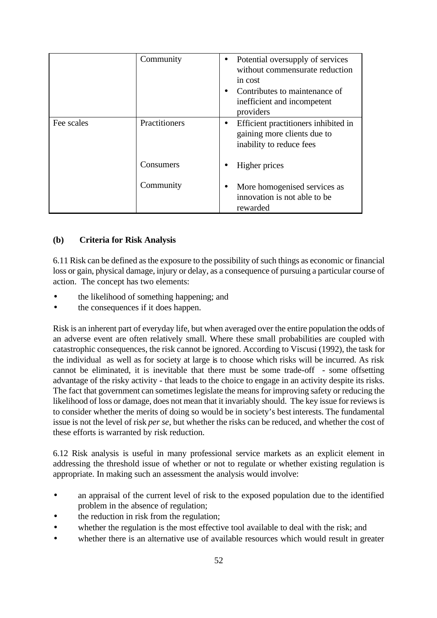|            | Community     | Potential oversupply of services<br>$\bullet$<br>without commensurate reduction<br>in cost<br>Contributes to maintenance of<br>inefficient and incompetent<br>providers |
|------------|---------------|-------------------------------------------------------------------------------------------------------------------------------------------------------------------------|
| Fee scales | Practitioners | Efficient practitioners inhibited in<br>gaining more clients due to<br>inability to reduce fees                                                                         |
|            | Consumers     | Higher prices                                                                                                                                                           |
|            | Community     | More homogenised services as<br>innovation is not able to be<br>rewarded                                                                                                |

### **(b) Criteria for Risk Analysis**

6.11 Risk can be defined as the exposure to the possibility of such things as economic or financial loss or gain, physical damage, injury or delay, as a consequence of pursuing a particular course of action. The concept has two elements:

- the likelihood of something happening; and
- the consequences if it does happen.

Risk is an inherent part of everyday life, but when averaged over the entire population the odds of an adverse event are often relatively small. Where these small probabilities are coupled with catastrophic consequences, the risk cannot be ignored. According to Viscusi (1992), the task for the individual as well as for society at large is to choose which risks will be incurred. As risk cannot be eliminated, it is inevitable that there must be some trade-off - some offsetting advantage of the risky activity - that leads to the choice to engage in an activity despite its risks. The fact that government can sometimes legislate the means for improving safety or reducing the likelihood of loss or damage, does not mean that it invariably should. The key issue for reviews is to consider whether the merits of doing so would be in society's best interests. The fundamental issue is not the level of risk *per se*, but whether the risks can be reduced, and whether the cost of these efforts is warranted by risk reduction.

6.12 Risk analysis is useful in many professional service markets as an explicit element in addressing the threshold issue of whether or not to regulate or whether existing regulation is appropriate. In making such an assessment the analysis would involve:

- an appraisal of the current level of risk to the exposed population due to the identified problem in the absence of regulation;
- the reduction in risk from the regulation;
- whether the regulation is the most effective tool available to deal with the risk; and
- whether there is an alternative use of available resources which would result in greater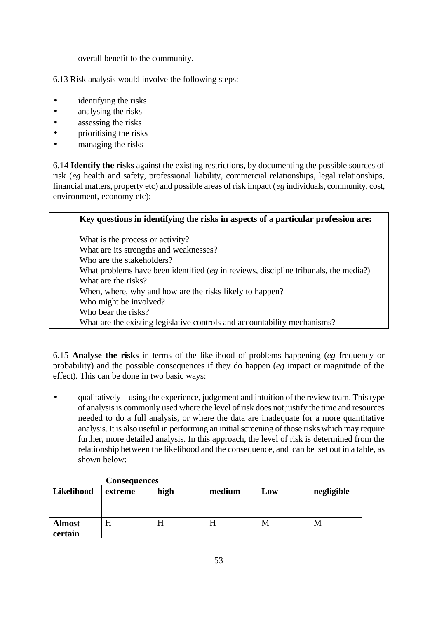overall benefit to the community.

6.13 Risk analysis would involve the following steps:

- identifying the risks
- analysing the risks
- assessing the risks
- prioritising the risks
- managing the risks

6.14 **Identify the risks** against the existing restrictions, by documenting the possible sources of risk (*eg* health and safety, professional liability, commercial relationships, legal relationships, financial matters, property etc) and possible areas of risk impact (*eg* individuals, community, cost, environment, economy etc);

| Key questions in identifying the risks in aspects of a particular profession are:       |
|-----------------------------------------------------------------------------------------|
| What is the process or activity?                                                        |
| What are its strengths and weaknesses?                                                  |
| Who are the stakeholders?                                                               |
| What problems have been identified ( $eg$ in reviews, discipline tribunals, the media?) |
| What are the risks?                                                                     |
| When, where, why and how are the risks likely to happen?                                |
| Who might be involved?                                                                  |
| Who bear the risks?                                                                     |
| What are the existing legislative controls and accountability mechanisms?               |

6.15 **Analyse the risks** in terms of the likelihood of problems happening (*eg* frequency or probability) and the possible consequences if they do happen (*eg* impact or magnitude of the effect). This can be done in two basic ways:

• qualitatively – using the experience, judgement and intuition of the review team. This type of analysis is commonly used where the level of risk does not justify the time and resources needed to do a full analysis, or where the data are inadequate for a more quantitative analysis. It is also useful in performing an initial screening of those risks which may require further, more detailed analysis. In this approach, the level of risk is determined from the relationship between the likelihood and the consequence, and can be set out in a table, as shown below:

| Likelihood               | Consequences<br>extreme l | high | medium | Low | negligible |
|--------------------------|---------------------------|------|--------|-----|------------|
| <b>Almost</b><br>certain | H                         | H    | Н      | M   | M          |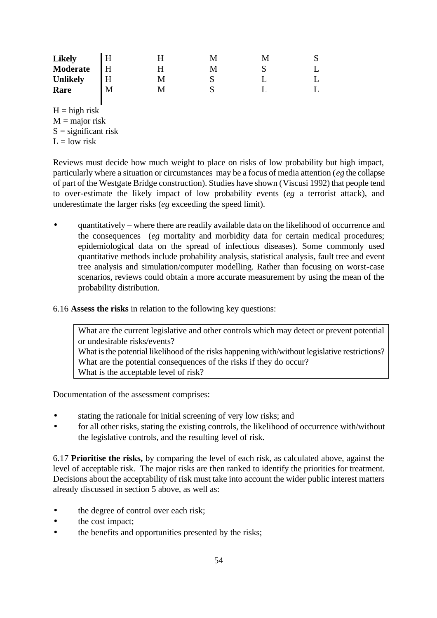| <b>Likely</b><br>Moderate |  |  |  |
|---------------------------|--|--|--|
| <b>Unlikely</b>           |  |  |  |
| Rare                      |  |  |  |

 $H = high$ risk  $M =$  major risk  $S =$  significant risk

 $L =$ low risk

Reviews must decide how much weight to place on risks of low probability but high impact, particularly where a situation or circumstances may be a focus of media attention (*eg* the collapse of part of the Westgate Bridge construction). Studies have shown (Viscusi 1992) that people tend to over-estimate the likely impact of low probability events (*eg* a terrorist attack), and underestimate the larger risks (*eg* exceeding the speed limit).

- quantitatively where there are readily available data on the likelihood of occurrence and the consequences (*eg* mortality and morbidity data for certain medical procedures; epidemiological data on the spread of infectious diseases). Some commonly used quantitative methods include probability analysis, statistical analysis, fault tree and event tree analysis and simulation/computer modelling. Rather than focusing on worst-case scenarios, reviews could obtain a more accurate measurement by using the mean of the probability distribution.
- 6.16 **Assess the risks** in relation to the following key questions:

What are the current legislative and other controls which may detect or prevent potential or undesirable risks/events? What is the potential likelihood of the risks happening with/without legislative restrictions? What are the potential consequences of the risks if they do occur? What is the acceptable level of risk?

Documentation of the assessment comprises:

- stating the rationale for initial screening of very low risks; and
- for all other risks, stating the existing controls, the likelihood of occurrence with/without the legislative controls, and the resulting level of risk.

6.17 **Prioritise the risks,** by comparing the level of each risk, as calculated above, against the level of acceptable risk. The major risks are then ranked to identify the priorities for treatment. Decisions about the acceptability of risk must take into account the wider public interest matters already discussed in section 5 above, as well as:

- the degree of control over each risk;
- the cost impact;
- the benefits and opportunities presented by the risks;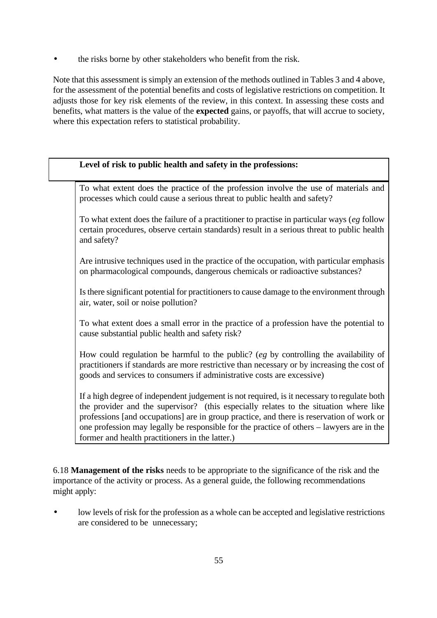• the risks borne by other stakeholders who benefit from the risk.

Note that this assessment is simply an extension of the methods outlined in Tables 3 and 4 above, for the assessment of the potential benefits and costs of legislative restrictions on competition. It adjusts those for key risk elements of the review, in this context. In assessing these costs and benefits, what matters is the value of the **expected** gains, or payoffs, that will accrue to society, where this expectation refers to statistical probability.

## **Level of risk to public health and safety in the professions:**

To what extent does the practice of the profession involve the use of materials and processes which could cause a serious threat to public health and safety?

To what extent does the failure of a practitioner to practise in particular ways (*eg* follow certain procedures, observe certain standards) result in a serious threat to public health and safety?

Are intrusive techniques used in the practice of the occupation, with particular emphasis on pharmacological compounds, dangerous chemicals or radioactive substances?

Is there significant potential for practitioners to cause damage to the environment through air, water, soil or noise pollution?

To what extent does a small error in the practice of a profession have the potential to cause substantial public health and safety risk?

How could regulation be harmful to the public? (*eg* by controlling the availability of practitioners if standards are more restrictive than necessary or by increasing the cost of goods and services to consumers if administrative costs are excessive)

If a high degree of independent judgement is not required, is it necessary to regulate both the provider and the supervisor? (this especially relates to the situation where like professions [and occupations] are in group practice, and there is reservation of work or one profession may legally be responsible for the practice of others – lawyers are in the former and health practitioners in the latter.)

6.18 **Management of the risks** needs to be appropriate to the significance of the risk and the importance of the activity or process. As a general guide, the following recommendations might apply:

low levels of risk for the profession as a whole can be accepted and legislative restrictions are considered to be unnecessary;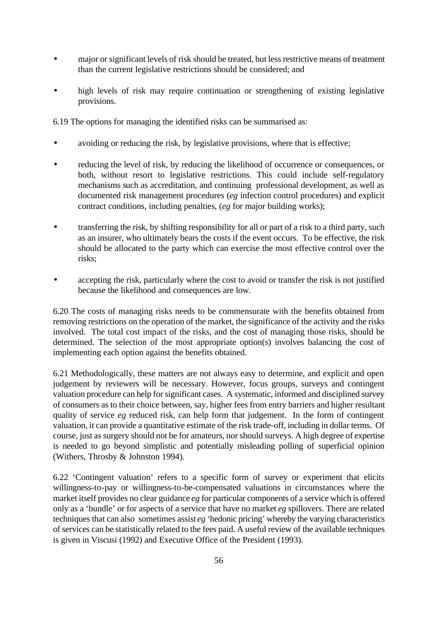- major or significant levels of risk should be treated, but less restrictive means of treatment than the current legislative restrictions should be considered; and
- high levels of risk may require continuation or strengthening of existing legislative provisions.

6.19 The options for managing the identified risks can be summarised as:

- avoiding or reducing the risk, by legislative provisions, where that is effective;
- reducing the level of risk, by reducing the likelihood of occurrence or consequences, or both, without resort to legislative restrictions. This could include self-regulatory mechanisms such as accreditation, and continuing professional development, as well as documented risk management procedures (*eg* infection control procedures) and explicit contract conditions, including penalties, (*eg* for major building works);
- transferring the risk, by shifting responsibility for all or part of a risk to a third party, such as an insurer, who ultimately bears the costs if the event occurs. To be effective, the risk should be allocated to the party which can exercise the most effective control over the risks;
- accepting the risk, particularly where the cost to avoid or transfer the risk is not justified because the likelihood and consequences are low.

6.20 The costs of managing risks needs to be commensurate with the benefits obtained from removing restrictions on the operation of the market, the significance of the activity and the risks involved. The total cost impact of the risks, and the cost of managing those risks, should be determined. The selection of the most appropriate option(s) involves balancing the cost of implementing each option against the benefits obtained.

6.21 Methodologically, these matters are not always easy to determine, and explicit and open judgement by reviewers will be necessary. However, focus groups, surveys and contingent valuation procedure can help for significant cases. A systematic, informed and disciplined survey of consumers as to their choice between, say, higher fees from entry barriers and higher resultant quality of service *eg* reduced risk, can help form that judgement. In the form of contingent valuation, it can provide a quantitative estimate of the risk trade-off, including in dollar terms. Of course, just as surgery should not be for amateurs, nor should surveys. A high degree of expertise is needed to go beyond simplistic and potentially misleading polling of superficial opinion (Withers, Throsby & Johnston 1994).

6.22 'Contingent valuation' refers to a specific form of survey or experiment that elicits willingness-to-pay or willingness-to-be-compensated valuations in circumstances where the market itself provides no clear guidance *eg* for particular components of a service which is offered only as a 'bundle' or for aspects of a service that have no market *eg* spillovers. There are related techniques that can also sometimes assist *eg* 'hedonic pricing' whereby the varying characteristics of services can be statistically related to the fees paid. A useful review of the available techniques is given in Viscusi (1992) and Executive Office of the President (1993).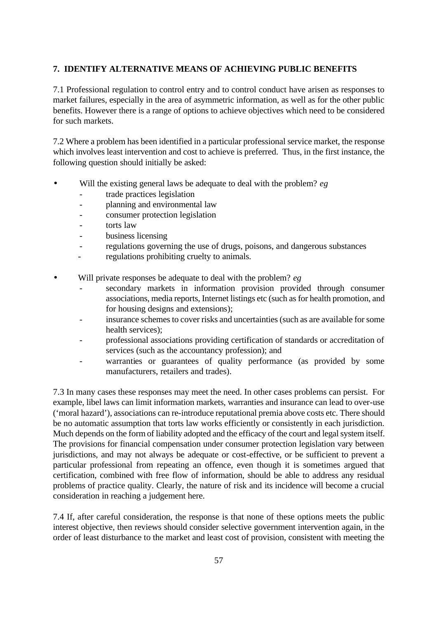## **7. IDENTIFY ALTERNATIVE MEANS OF ACHIEVING PUBLIC BENEFITS**

7.1 Professional regulation to control entry and to control conduct have arisen as responses to market failures, especially in the area of asymmetric information, as well as for the other public benefits. However there is a range of options to achieve objectives which need to be considered for such markets.

7.2 Where a problem has been identified in a particular professional service market, the response which involves least intervention and cost to achieve is preferred. Thus, in the first instance, the following question should initially be asked:

- Will the existing general laws be adequate to deal with the problem? *eg*
	- trade practices legislation
	- planning and environmental law
	- consumer protection legislation
	- torts law
	- business licensing
	- regulations governing the use of drugs, poisons, and dangerous substances
	- regulations prohibiting cruelty to animals.
- Will private responses be adequate to deal with the problem? *eg*
	- secondary markets in information provision provided through consumer associations, media reports, Internet listings etc (such as for health promotion, and for housing designs and extensions);
	- insurance schemes to cover risks and uncertainties (such as are available for some health services);
	- professional associations providing certification of standards or accreditation of services (such as the accountancy profession); and
	- warranties or guarantees of quality performance (as provided by some manufacturers, retailers and trades).

7.3 In many cases these responses may meet the need. In other cases problems can persist. For example, libel laws can limit information markets, warranties and insurance can lead to over-use ('moral hazard'), associations can re-introduce reputational premia above costs etc. There should be no automatic assumption that torts law works efficiently or consistently in each jurisdiction. Much depends on the form of liability adopted and the efficacy of the court and legal system itself. The provisions for financial compensation under consumer protection legislation vary between jurisdictions, and may not always be adequate or cost-effective, or be sufficient to prevent a particular professional from repeating an offence, even though it is sometimes argued that certification, combined with free flow of information, should be able to address any residual problems of practice quality. Clearly, the nature of risk and its incidence will become a crucial consideration in reaching a judgement here.

7.4 If, after careful consideration, the response is that none of these options meets the public interest objective, then reviews should consider selective government intervention again, in the order of least disturbance to the market and least cost of provision, consistent with meeting the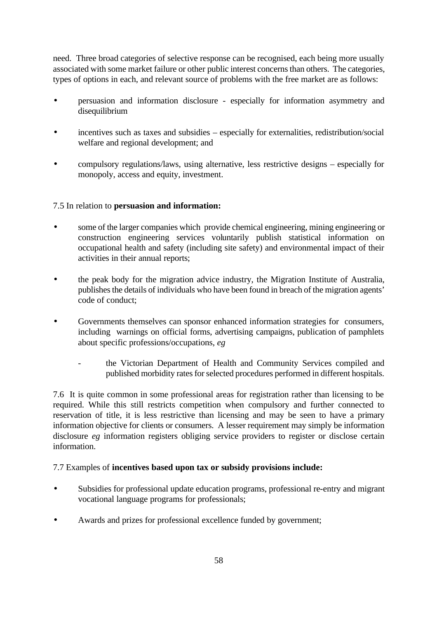need. Three broad categories of selective response can be recognised, each being more usually associated with some market failure or other public interest concerns than others. The categories, types of options in each, and relevant source of problems with the free market are as follows:

- persuasion and information disclosure especially for information asymmetry and disequilibrium
- incentives such as taxes and subsidies especially for externalities, redistribution/social welfare and regional development; and
- compulsory regulations/laws, using alternative, less restrictive designs especially for monopoly, access and equity, investment.

## 7.5 In relation to **persuasion and information:**

- some of the larger companies which provide chemical engineering, mining engineering or construction engineering services voluntarily publish statistical information on occupational health and safety (including site safety) and environmental impact of their activities in their annual reports;
- the peak body for the migration advice industry, the Migration Institute of Australia, publishes the details of individuals who have been found in breach of the migration agents' code of conduct;
- Governments themselves can sponsor enhanced information strategies for consumers, including warnings on official forms, advertising campaigns, publication of pamphlets about specific professions/occupations, *eg*
	- the Victorian Department of Health and Community Services compiled and published morbidity rates for selected procedures performed in different hospitals.

7.6 It is quite common in some professional areas for registration rather than licensing to be required. While this still restricts competition when compulsory and further connected to reservation of title, it is less restrictive than licensing and may be seen to have a primary information objective for clients or consumers. A lesser requirement may simply be information disclosure *eg* information registers obliging service providers to register or disclose certain information.

## 7.7 Examples of **incentives based upon tax or subsidy provisions include:**

- Subsidies for professional update education programs, professional re-entry and migrant vocational language programs for professionals;
- Awards and prizes for professional excellence funded by government;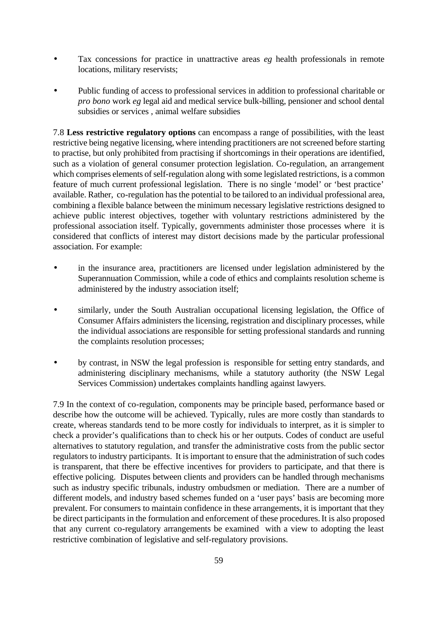- Tax concessions for practice in unattractive areas *eg* health professionals in remote locations, military reservists;
- Public funding of access to professional services in addition to professional charitable or *pro bono* work *eg* legal aid and medical service bulk-billing, pensioner and school dental subsidies or services , animal welfare subsidies

7.8 **Less restrictive regulatory options** can encompass a range of possibilities, with the least restrictive being negative licensing, where intending practitioners are not screened before starting to practise, but only prohibited from practising if shortcomings in their operations are identified, such as a violation of general consumer protection legislation. Co-regulation, an arrangement which comprises elements of self-regulation along with some legislated restrictions, is a common feature of much current professional legislation. There is no single 'model' or 'best practice' available. Rather, co-regulation has the potential to be tailored to an individual professional area, combining a flexible balance between the minimum necessary legislative restrictions designed to achieve public interest objectives, together with voluntary restrictions administered by the professional association itself. Typically, governments administer those processes where it is considered that conflicts of interest may distort decisions made by the particular professional association. For example:

- in the insurance area, practitioners are licensed under legislation administered by the Superannuation Commission, while a code of ethics and complaints resolution scheme is administered by the industry association itself;
- similarly, under the South Australian occupational licensing legislation, the Office of Consumer Affairs administers the licensing, registration and disciplinary processes, while the individual associations are responsible for setting professional standards and running the complaints resolution processes;
- by contrast, in NSW the legal profession is responsible for setting entry standards, and administering disciplinary mechanisms, while a statutory authority (the NSW Legal Services Commission) undertakes complaints handling against lawyers.

7.9 In the context of co-regulation, components may be principle based, performance based or describe how the outcome will be achieved. Typically, rules are more costly than standards to create, whereas standards tend to be more costly for individuals to interpret, as it is simpler to check a provider's qualifications than to check his or her outputs. Codes of conduct are useful alternatives to statutory regulation, and transfer the administrative costs from the public sector regulators to industry participants. It is important to ensure that the administration of such codes is transparent, that there be effective incentives for providers to participate, and that there is effective policing. Disputes between clients and providers can be handled through mechanisms such as industry specific tribunals, industry ombudsmen or mediation. There are a number of different models, and industry based schemes funded on a 'user pays' basis are becoming more prevalent. For consumers to maintain confidence in these arrangements, it is important that they be direct participants in the formulation and enforcement of these procedures. It is also proposed that any current co-regulatory arrangements be examined with a view to adopting the least restrictive combination of legislative and self-regulatory provisions.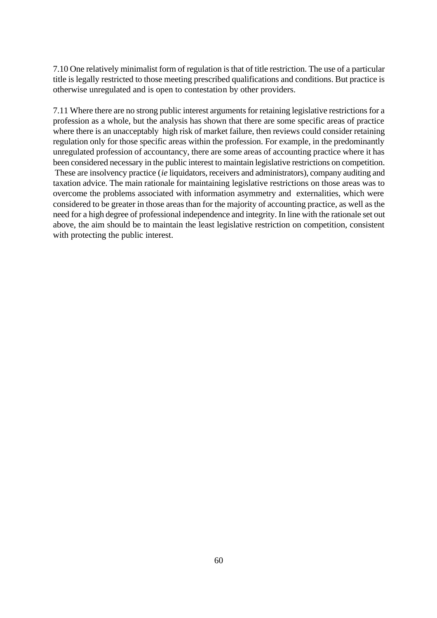7.10 One relatively minimalist form of regulation is that of title restriction. The use of a particular title is legally restricted to those meeting prescribed qualifications and conditions. But practice is otherwise unregulated and is open to contestation by other providers.

7.11 Where there are no strong public interest arguments for retaining legislative restrictions for a profession as a whole, but the analysis has shown that there are some specific areas of practice where there is an unacceptably high risk of market failure, then reviews could consider retaining regulation only for those specific areas within the profession. For example, in the predominantly unregulated profession of accountancy, there are some areas of accounting practice where it has been considered necessary in the public interest to maintain legislative restrictions on competition. These are insolvency practice (*ie* liquidators, receivers and administrators), company auditing and taxation advice. The main rationale for maintaining legislative restrictions on those areas was to overcome the problems associated with information asymmetry and externalities, which were considered to be greater in those areas than for the majority of accounting practice, as well as the need for a high degree of professional independence and integrity. In line with the rationale set out above, the aim should be to maintain the least legislative restriction on competition, consistent with protecting the public interest.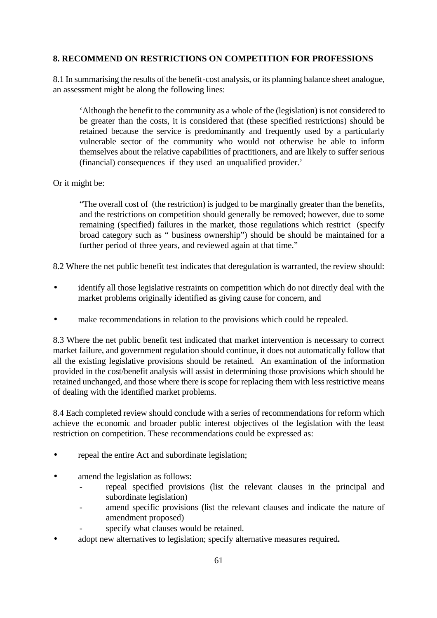## **8. RECOMMEND ON RESTRICTIONS ON COMPETITION FOR PROFESSIONS**

8.1 In summarising the results of the benefit-cost analysis, or its planning balance sheet analogue, an assessment might be along the following lines:

'Although the benefit to the community as a whole of the (legislation) is not considered to be greater than the costs, it is considered that (these specified restrictions) should be retained because the service is predominantly and frequently used by a particularly vulnerable sector of the community who would not otherwise be able to inform themselves about the relative capabilities of practitioners, and are likely to suffer serious (financial) consequences if they used an unqualified provider.'

Or it might be:

"The overall cost of (the restriction) is judged to be marginally greater than the benefits, and the restrictions on competition should generally be removed; however, due to some remaining (specified) failures in the market, those regulations which restrict (specify broad category such as " business ownership") should be should be maintained for a further period of three years, and reviewed again at that time."

8.2 Where the net public benefit test indicates that deregulation is warranted, the review should:

- identify all those legislative restraints on competition which do not directly deal with the market problems originally identified as giving cause for concern, and
- make recommendations in relation to the provisions which could be repealed.

8.3 Where the net public benefit test indicated that market intervention is necessary to correct market failure, and government regulation should continue, it does not automatically follow that all the existing legislative provisions should be retained. An examination of the information provided in the cost/benefit analysis will assist in determining those provisions which should be retained unchanged, and those where there is scope for replacing them with less restrictive means of dealing with the identified market problems.

8.4 Each completed review should conclude with a series of recommendations for reform which achieve the economic and broader public interest objectives of the legislation with the least restriction on competition. These recommendations could be expressed as:

- repeal the entire Act and subordinate legislation;
- amend the legislation as follows:
	- repeal specified provisions (list the relevant clauses in the principal and subordinate legislation)
	- amend specific provisions (list the relevant clauses and indicate the nature of amendment proposed)
	- specify what clauses would be retained.
- adopt new alternatives to legislation; specify alternative measures required**.**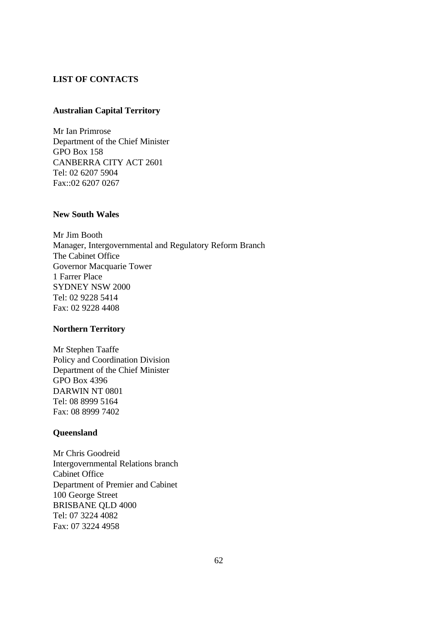### **LIST OF CONTACTS**

### **Australian Capital Territory**

Mr Ian Primrose Department of the Chief Minister GPO Box 158 CANBERRA CITY ACT 2601 Tel: 02 6207 5904 Fax::02 6207 0267

#### **New South Wales**

Mr Jim Booth Manager, Intergovernmental and Regulatory Reform Branch The Cabinet Office Governor Macquarie Tower 1 Farrer Place SYDNEY NSW 2000 Tel: 02 9228 5414 Fax: 02 9228 4408

#### **Northern Territory**

Mr Stephen Taaffe Policy and Coordination Division Department of the Chief Minister GPO Box 4396 DARWIN NT 0801 Tel: 08 8999 5164 Fax: 08 8999 7402

#### **Queensland**

Mr Chris Goodreid Intergovernmental Relations branch Cabinet Office Department of Premier and Cabinet 100 George Street BRISBANE QLD 4000 Tel: 07 3224 4082 Fax: 07 3224 4958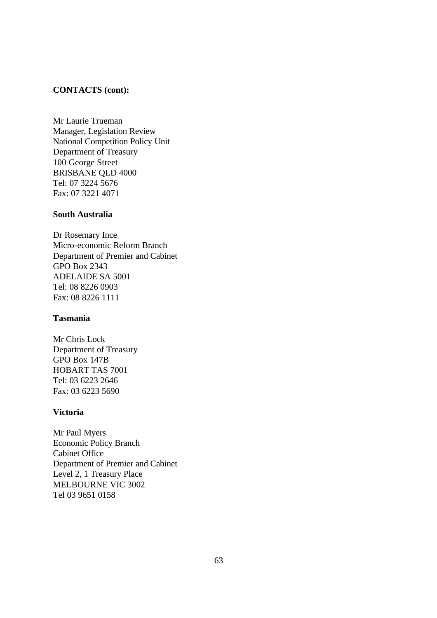#### **CONTACTS (cont):**

Mr Laurie Trueman Manager, Legislation Review National Competition Policy Unit Department of Treasury 100 George Street BRISBANE QLD 4000 Tel: 07 3224 5676 Fax: 07 3221 4071

#### **South Australia**

Dr Rosemary Ince Micro-economic Reform Branch Department of Premier and Cabinet GPO Box 2343 ADELAIDE SA 5001 Tel: 08 8226 0903 Fax: 08 8226 1111

### **Tasmania**

Mr Chris Lock Department of Treasury GPO Box 147B HOBART TAS 7001 Tel: 03 6223 2646 Fax: 03 6223 5690

#### **Victoria**

Mr Paul Myers Economic Policy Branch Cabinet Office Department of Premier and Cabinet Level 2, 1 Treasury Place MELBOURNE VIC 3002 Tel 03 9651 0158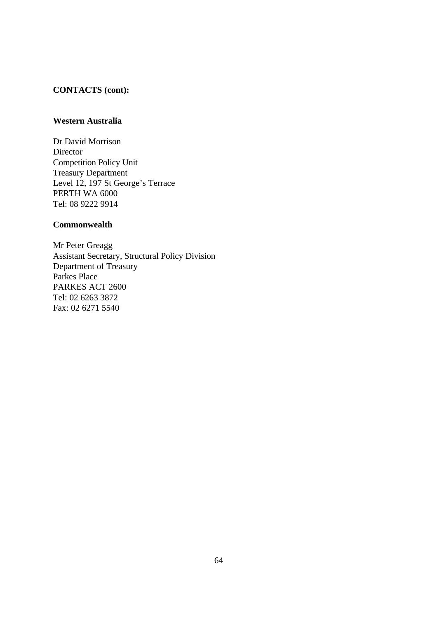## **CONTACTS (cont):**

## **Western Australia**

Dr David Morrison Director Competition Policy Unit Treasury Department Level 12, 197 St George's Terrace PERTH WA 6000 Tel: 08 9222 9914

### **Commonwealth**

Mr Peter Greagg Assistant Secretary, Structural Policy Division Department of Treasury Parkes Place PARKES ACT 2600 Tel: 02 6263 3872 Fax: 02 6271 5540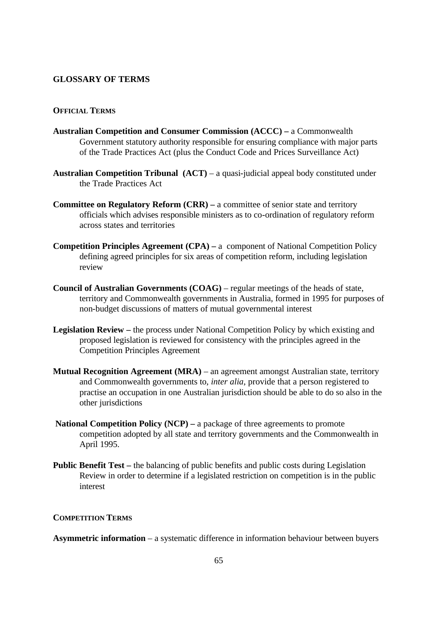### **GLOSSARY OF TERMS**

### **OFFICIAL TERMS**

- **Australian Competition and Consumer Commission (ACCC) –** a Commonwealth Government statutory authority responsible for ensuring compliance with major parts of the Trade Practices Act (plus the Conduct Code and Prices Surveillance Act)
- **Australian Competition Tribunal (ACT) a quasi-judicial appeal body constituted under** the Trade Practices Act
- **Committee on Regulatory Reform (CRR) a committee of senior state and territory** officials which advises responsible ministers as to co-ordination of regulatory reform across states and territories
- **Competition Principles Agreement (CPA) –** a component of National Competition Policy defining agreed principles for six areas of competition reform, including legislation review
- **Council of Australian Governments (COAG)** regular meetings of the heads of state, territory and Commonwealth governments in Australia, formed in 1995 for purposes of non-budget discussions of matters of mutual governmental interest
- **Legislation Review –** the process under National Competition Policy by which existing and proposed legislation is reviewed for consistency with the principles agreed in the Competition Principles Agreement
- **Mutual Recognition Agreement (MRA)** an agreement amongst Australian state, territory and Commonwealth governments to, *inter alia*, provide that a person registered to practise an occupation in one Australian jurisdiction should be able to do so also in the other jurisdictions
- **National Competition Policy (NCP)** a package of three agreements to promote competition adopted by all state and territory governments and the Commonwealth in April 1995.
- **Public Benefit Test** the balancing of public benefits and public costs during Legislation Review in order to determine if a legislated restriction on competition is in the public interest

#### **COMPETITION TERMS**

**Asymmetric information** – a systematic difference in information behaviour between buyers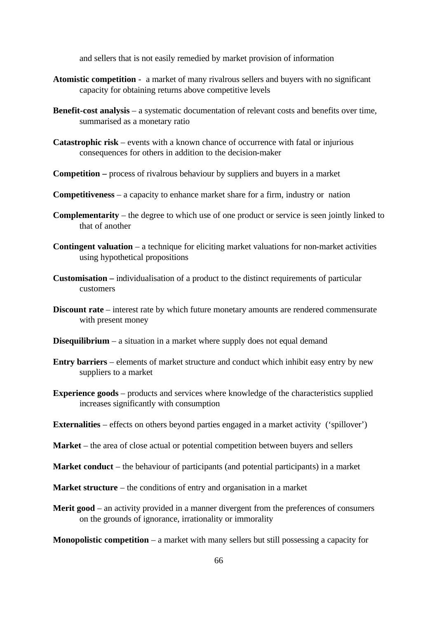and sellers that is not easily remedied by market provision of information

- **Atomistic competition** a market of many rivalrous sellers and buyers with no significant capacity for obtaining returns above competitive levels
- **Benefit-cost analysis** a systematic documentation of relevant costs and benefits over time, summarised as a monetary ratio
- **Catastrophic risk** events with a known chance of occurrence with fatal or injurious consequences for others in addition to the decision-maker
- **Competition –** process of rivalrous behaviour by suppliers and buyers in a market
- **Competitiveness**  a capacity to enhance market share for a firm, industry or nation
- **Complementarity** the degree to which use of one product or service is seen jointly linked to that of another
- **Contingent valuation** a technique for eliciting market valuations for non-market activities using hypothetical propositions
- **Customisation –** individualisation of a product to the distinct requirements of particular customers
- **Discount rate** interest rate by which future monetary amounts are rendered commensurate with present money
- **Disequilibrium** a situation in a market where supply does not equal demand
- **Entry barriers** elements of market structure and conduct which inhibit easy entry by new suppliers to a market
- **Experience goods** products and services where knowledge of the characteristics supplied increases significantly with consumption
- **Externalities** effects on others beyond parties engaged in a market activity ('spillover')
- **Market** the area of close actual or potential competition between buyers and sellers
- **Market conduct** the behaviour of participants (and potential participants) in a market
- **Market structure** the conditions of entry and organisation in a market
- **Merit good** an activity provided in a manner divergent from the preferences of consumers on the grounds of ignorance, irrationality or immorality

**Monopolistic competition** – a market with many sellers but still possessing a capacity for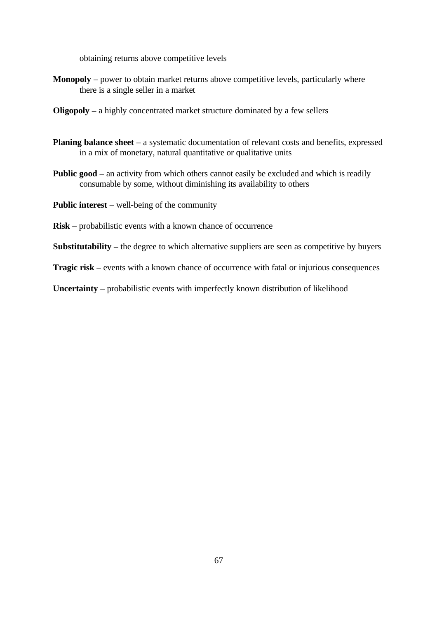obtaining returns above competitive levels

- **Monopoly** power to obtain market returns above competitive levels, particularly where there is a single seller in a market
- **Oligopoly –** a highly concentrated market structure dominated by a few sellers
- **Planing balance sheet** a systematic documentation of relevant costs and benefits, expressed in a mix of monetary, natural quantitative or qualitative units
- **Public good** an activity from which others cannot easily be excluded and which is readily consumable by some, without diminishing its availability to others
- **Public interest** well-being of the community
- **Risk** probabilistic events with a known chance of occurrence
- **Substitutability –** the degree to which alternative suppliers are seen as competitive by buyers
- **Tragic risk** events with a known chance of occurrence with fatal or injurious consequences
- **Uncertainty** probabilistic events with imperfectly known distribution of likelihood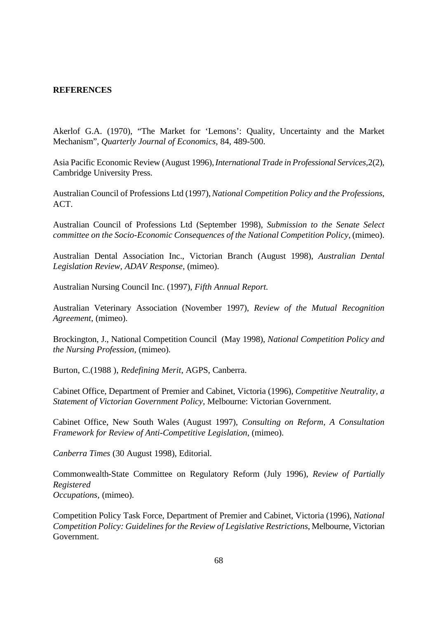#### **REFERENCES**

Akerlof G.A. (1970), "The Market for 'Lemons': Quality, Uncertainty and the Market Mechanism", *Quarterly Journal of Economics*, 84, 489-500.

Asia Pacific Economic Review (August 1996), *International Trade in Professional Services,*2(2), Cambridge University Press.

Australian Council of Professions Ltd (1997), *National Competition Policy and the Professions*, ACT.

Australian Council of Professions Ltd (September 1998), *Submission to the Senate Select committee on the Socio-Economic Consequences of the National Competition Policy*, (mimeo).

Australian Dental Association Inc., Victorian Branch (August 1998), *Australian Dental Legislation Review, ADAV Response,* (mimeo).

Australian Nursing Council Inc. (1997), *Fifth Annual Report.*

Australian Veterinary Association (November 1997), *Review of the Mutual Recognition Agreement*, (mimeo).

Brockington, J., National Competition Council (May 1998), *National Competition Policy and the Nursing Profession,* (mimeo).

Burton, C.(1988 ), *Redefining Merit*, AGPS, Canberra.

Cabinet Office, Department of Premier and Cabinet, Victoria (1996), *Competitive Neutrality, a Statement of Victorian Government Policy*, Melbourne: Victorian Government.

Cabinet Office, New South Wales (August 1997), *Consulting on Reform, A Consultation Framework for Review of Anti-Competitive Legislation*, (mimeo).

*Canberra Times* (30 August 1998), Editorial.

Commonwealth-State Committee on Regulatory Reform (July 1996), *Review of Partially Registered Occupations,* (mimeo).

Competition Policy Task Force, Department of Premier and Cabinet, Victoria (1996), *National Competition Policy: Guidelines for the Review of Legislative Restrictions*, Melbourne, Victorian Government.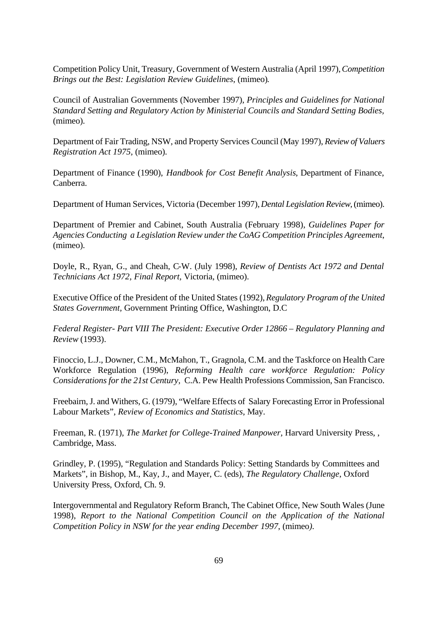Competition Policy Unit, Treasury, Government of Western Australia (April 1997), *Competition Brings out the Best: Legislation Review Guidelines*, (mimeo)*.*

Council of Australian Governments (November 1997), *Principles and Guidelines for National Standard Setting and Regulatory Action by Ministerial Councils and Standard Setting Bodies,* (mimeo).

Department of Fair Trading, NSW, and Property Services Council (May 1997), *Review of Valuers Registration Act 1975,* (mimeo).

Department of Finance (1990), *Handbook for Cost Benefit Analysis*, Department of Finance, Canberra.

Department of Human Services, Victoria (December 1997), *Dental Legislation Review*, (mimeo).

Department of Premier and Cabinet, South Australia (February 1998), *Guidelines Paper for Agencies Conducting a Legislation Review under the CoAG Competition Principles Agreement*, (mimeo).

Doyle, R., Ryan, G., and Cheah, C-W. (July 1998), *Review of Dentists Act 1972 and Dental Technicians Act 1972, Final Report,* Victoria, (mimeo).

Executive Office of the President of the United States (1992), *Regulatory Program of the United States Government,* Government Printing Office, Washington, D.C

*Federal Register- Part VIII The President: Executive Order 12866 – Regulatory Planning and Review* (1993).

Finoccio, L.J., Downer, C.M., McMahon, T., Gragnola, C.M. and the Taskforce on Health Care Workforce Regulation (1996), *Reforming Health care workforce Regulation: Policy Considerations for the 21st Century,* C.A. Pew Health Professions Commission, San Francisco.

Freebairn, J. and Withers, G. (1979), "Welfare Effects of Salary Forecasting Error in Professional Labour Markets", *Review of Economics and Statistics*, May.

Freeman, R. (1971), *The Market for College-Trained Manpower,* Harvard University Press, , Cambridge, Mass.

Grindley, P. (1995), "Regulation and Standards Policy: Setting Standards by Committees and Markets", in Bishop, M., Kay, J., and Mayer, C. (eds), *The Regulatory Challenge*, Oxford University Press, Oxford, Ch. 9.

Intergovernmental and Regulatory Reform Branch, The Cabinet Office, New South Wales (June 1998), *Report to the National Competition Council on the Application of the National Competition Policy in NSW for the year ending December 1997*, (mimeo*).*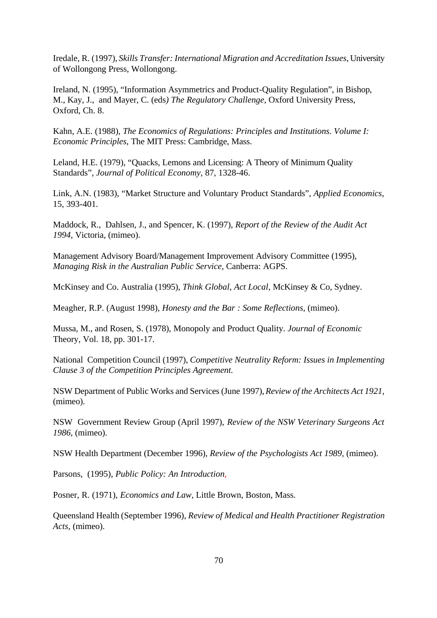Iredale, R. (1997), *Skills Transfer: International Migration and Accreditation Issues*, University of Wollongong Press, Wollongong.

Ireland, N. (1995), "Information Asymmetrics and Product-Quality Regulation", in Bishop, M., Kay, J., and Mayer, C. (eds*) The Regulatory Challenge*, Oxford University Press, Oxford, Ch. 8.

Kahn, A.E. (1988), *The Economics of Regulations: Principles and Institutions. Volume I: Economic Principles*, The MIT Press: Cambridge, Mass.

Leland, H.E. (1979), "Quacks, Lemons and Licensing: A Theory of Minimum Quality Standards", *Journal of Political Economy*, 87, 1328-46.

Link, A.N. (1983), "Market Structure and Voluntary Product Standards", *Applied Economics*, 15, 393-401.

Maddock, R., Dahlsen, J., and Spencer, K. (1997), *Report of the Review of the Audit Act 1994,* Victoria, (mimeo).

Management Advisory Board/Management Improvement Advisory Committee (1995), *Managing Risk in the Australian Public Service*, Canberra: AGPS.

McKinsey and Co. Australia (1995), *Think Global, Act Local,* McKinsey & Co, Sydney.

Meagher, R.P. (August 1998), *Honesty and the Bar : Some Reflections*, (mimeo).

Mussa, M., and Rosen, S. (1978), Monopoly and Product Quality. *Journal of Economic* Theory, Vol. 18, pp. 301-17.

National Competition Council (1997), *Competitive Neutrality Reform: Issues in Implementing Clause 3 of the Competition Principles Agreement.* 

NSW Department of Public Works and Services (June 1997), *Review of the Architects Act 1921*, (mimeo).

NSW Government Review Group (April 1997), *Review of the NSW Veterinary Surgeons Act 1986*, (mimeo).

NSW Health Department (December 1996), *Review of the Psychologists Act 1989,* (mimeo).

Parsons, (1995), *Public Policy: An Introduction,*

Posner, R. (1971), *Economics and Law,* Little Brown, Boston, Mass.

Queensland Health (September 1996), *Review of Medical and Health Practitioner Registration Acts,* (mimeo).